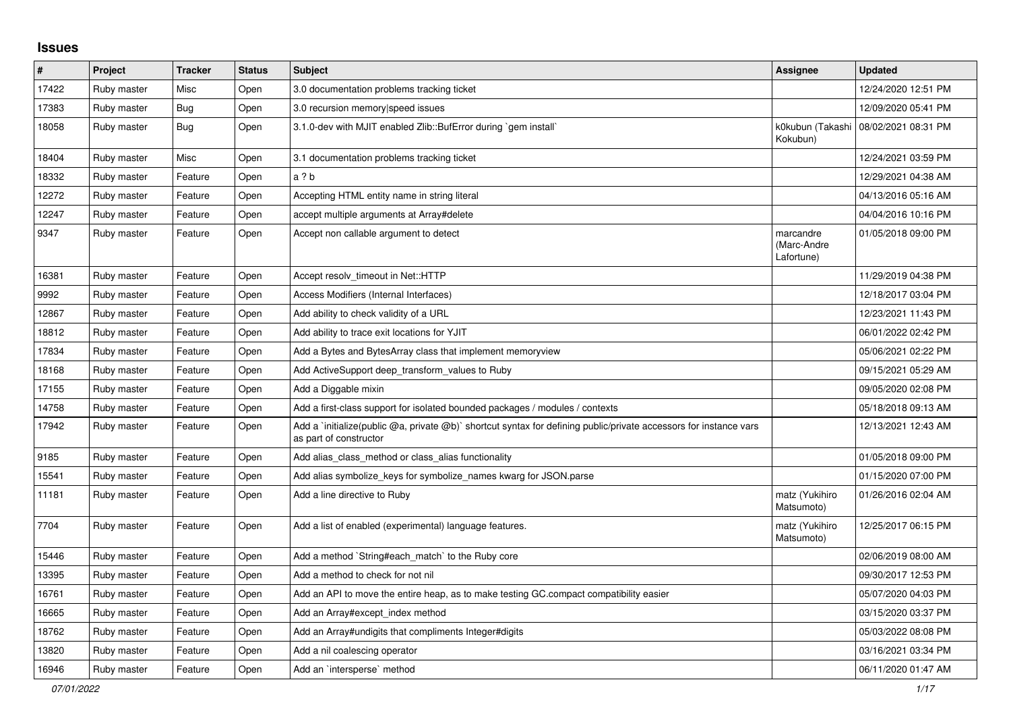## **Issues**

| #     | Project     | <b>Tracker</b> | <b>Status</b> | <b>Subject</b>                                                                                                                              | Assignee                               | <b>Updated</b>      |
|-------|-------------|----------------|---------------|---------------------------------------------------------------------------------------------------------------------------------------------|----------------------------------------|---------------------|
| 17422 | Ruby master | Misc           | Open          | 3.0 documentation problems tracking ticket                                                                                                  |                                        | 12/24/2020 12:51 PM |
| 17383 | Ruby master | <b>Bug</b>     | Open          | 3.0 recursion memory speed issues                                                                                                           |                                        | 12/09/2020 05:41 PM |
| 18058 | Ruby master | <b>Bug</b>     | Open          | 3.1.0-dev with MJIT enabled Zlib::BufError during `gem install`                                                                             | k0kubun (Takashi<br>Kokubun)           | 08/02/2021 08:31 PM |
| 18404 | Ruby master | Misc           | Open          | 3.1 documentation problems tracking ticket                                                                                                  |                                        | 12/24/2021 03:59 PM |
| 18332 | Ruby master | Feature        | Open          | a ? b                                                                                                                                       |                                        | 12/29/2021 04:38 AM |
| 12272 | Ruby master | Feature        | Open          | Accepting HTML entity name in string literal                                                                                                |                                        | 04/13/2016 05:16 AM |
| 12247 | Ruby master | Feature        | Open          | accept multiple arguments at Array#delete                                                                                                   |                                        | 04/04/2016 10:16 PM |
| 9347  | Ruby master | Feature        | Open          | Accept non callable argument to detect                                                                                                      | marcandre<br>(Marc-Andre<br>Lafortune) | 01/05/2018 09:00 PM |
| 16381 | Ruby master | Feature        | Open          | Accept resolv timeout in Net::HTTP                                                                                                          |                                        | 11/29/2019 04:38 PM |
| 9992  | Ruby master | Feature        | Open          | Access Modifiers (Internal Interfaces)                                                                                                      |                                        | 12/18/2017 03:04 PM |
| 12867 | Ruby master | Feature        | Open          | Add ability to check validity of a URL                                                                                                      |                                        | 12/23/2021 11:43 PM |
| 18812 | Ruby master | Feature        | Open          | Add ability to trace exit locations for YJIT                                                                                                |                                        | 06/01/2022 02:42 PM |
| 17834 | Ruby master | Feature        | Open          | Add a Bytes and BytesArray class that implement memoryview                                                                                  |                                        | 05/06/2021 02:22 PM |
| 18168 | Ruby master | Feature        | Open          | Add ActiveSupport deep_transform_values to Ruby                                                                                             |                                        | 09/15/2021 05:29 AM |
| 17155 | Ruby master | Feature        | Open          | Add a Diggable mixin                                                                                                                        |                                        | 09/05/2020 02:08 PM |
| 14758 | Ruby master | Feature        | Open          | Add a first-class support for isolated bounded packages / modules / contexts                                                                |                                        | 05/18/2018 09:13 AM |
| 17942 | Ruby master | Feature        | Open          | Add a 'initialize(public @a, private @b)' shortcut syntax for defining public/private accessors for instance vars<br>as part of constructor |                                        | 12/13/2021 12:43 AM |
| 9185  | Ruby master | Feature        | Open          | Add alias class method or class alias functionality                                                                                         |                                        | 01/05/2018 09:00 PM |
| 15541 | Ruby master | Feature        | Open          | Add alias symbolize keys for symbolize names kwarg for JSON.parse                                                                           |                                        | 01/15/2020 07:00 PM |
| 11181 | Ruby master | Feature        | Open          | Add a line directive to Ruby                                                                                                                | matz (Yukihiro<br>Matsumoto)           | 01/26/2016 02:04 AM |
| 7704  | Ruby master | Feature        | Open          | Add a list of enabled (experimental) language features.                                                                                     | matz (Yukihiro<br>Matsumoto)           | 12/25/2017 06:15 PM |
| 15446 | Ruby master | Feature        | Open          | Add a method `String#each match` to the Ruby core                                                                                           |                                        | 02/06/2019 08:00 AM |
| 13395 | Ruby master | Feature        | Open          | Add a method to check for not nil                                                                                                           |                                        | 09/30/2017 12:53 PM |
| 16761 | Ruby master | Feature        | Open          | Add an API to move the entire heap, as to make testing GC.compact compatibility easier                                                      |                                        | 05/07/2020 04:03 PM |
| 16665 | Ruby master | Feature        | Open          | Add an Array#except_index method                                                                                                            |                                        | 03/15/2020 03:37 PM |
| 18762 | Ruby master | Feature        | Open          | Add an Array#undigits that compliments Integer#digits                                                                                       |                                        | 05/03/2022 08:08 PM |
| 13820 | Ruby master | Feature        | Open          | Add a nil coalescing operator                                                                                                               |                                        | 03/16/2021 03:34 PM |
| 16946 | Ruby master | Feature        | Open          | Add an `intersperse` method                                                                                                                 |                                        | 06/11/2020 01:47 AM |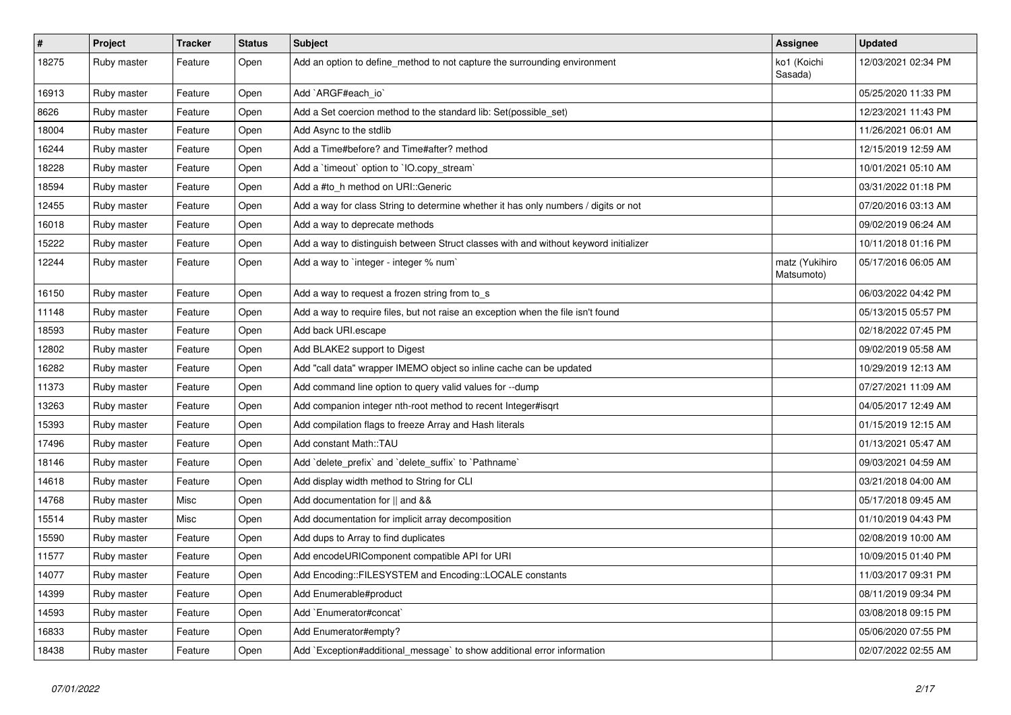| $\vert$ # | Project     | <b>Tracker</b> | <b>Status</b> | <b>Subject</b>                                                                       | <b>Assignee</b>              | <b>Updated</b>      |
|-----------|-------------|----------------|---------------|--------------------------------------------------------------------------------------|------------------------------|---------------------|
| 18275     | Ruby master | Feature        | Open          | Add an option to define_method to not capture the surrounding environment            | ko1 (Koichi<br>Sasada)       | 12/03/2021 02:34 PM |
| 16913     | Ruby master | Feature        | Open          | Add `ARGF#each_io`                                                                   |                              | 05/25/2020 11:33 PM |
| 8626      | Ruby master | Feature        | Open          | Add a Set coercion method to the standard lib: Set(possible set)                     |                              | 12/23/2021 11:43 PM |
| 18004     | Ruby master | Feature        | Open          | Add Async to the stdlib                                                              |                              | 11/26/2021 06:01 AM |
| 16244     | Ruby master | Feature        | Open          | Add a Time#before? and Time#after? method                                            |                              | 12/15/2019 12:59 AM |
| 18228     | Ruby master | Feature        | Open          | Add a `timeout` option to `IO.copy_stream`                                           |                              | 10/01/2021 05:10 AM |
| 18594     | Ruby master | Feature        | Open          | Add a #to_h method on URI::Generic                                                   |                              | 03/31/2022 01:18 PM |
| 12455     | Ruby master | Feature        | Open          | Add a way for class String to determine whether it has only numbers / digits or not  |                              | 07/20/2016 03:13 AM |
| 16018     | Ruby master | Feature        | Open          | Add a way to deprecate methods                                                       |                              | 09/02/2019 06:24 AM |
| 15222     | Ruby master | Feature        | Open          | Add a way to distinguish between Struct classes with and without keyword initializer |                              | 10/11/2018 01:16 PM |
| 12244     | Ruby master | Feature        | Open          | Add a way to `integer - integer % num`                                               | matz (Yukihiro<br>Matsumoto) | 05/17/2016 06:05 AM |
| 16150     | Ruby master | Feature        | Open          | Add a way to request a frozen string from to_s                                       |                              | 06/03/2022 04:42 PM |
| 11148     | Ruby master | Feature        | Open          | Add a way to require files, but not raise an exception when the file isn't found     |                              | 05/13/2015 05:57 PM |
| 18593     | Ruby master | Feature        | Open          | Add back URI.escape                                                                  |                              | 02/18/2022 07:45 PM |
| 12802     | Ruby master | Feature        | Open          | Add BLAKE2 support to Digest                                                         |                              | 09/02/2019 05:58 AM |
| 16282     | Ruby master | Feature        | Open          | Add "call data" wrapper IMEMO object so inline cache can be updated                  |                              | 10/29/2019 12:13 AM |
| 11373     | Ruby master | Feature        | Open          | Add command line option to query valid values for --dump                             |                              | 07/27/2021 11:09 AM |
| 13263     | Ruby master | Feature        | Open          | Add companion integer nth-root method to recent Integer#isgrt                        |                              | 04/05/2017 12:49 AM |
| 15393     | Ruby master | Feature        | Open          | Add compilation flags to freeze Array and Hash literals                              |                              | 01/15/2019 12:15 AM |
| 17496     | Ruby master | Feature        | Open          | Add constant Math::TAU                                                               |                              | 01/13/2021 05:47 AM |
| 18146     | Ruby master | Feature        | Open          | Add `delete_prefix` and `delete_suffix` to `Pathname`                                |                              | 09/03/2021 04:59 AM |
| 14618     | Ruby master | Feature        | Open          | Add display width method to String for CLI                                           |                              | 03/21/2018 04:00 AM |
| 14768     | Ruby master | Misc           | Open          | Add documentation for    and &&                                                      |                              | 05/17/2018 09:45 AM |
| 15514     | Ruby master | Misc           | Open          | Add documentation for implicit array decomposition                                   |                              | 01/10/2019 04:43 PM |
| 15590     | Ruby master | Feature        | Open          | Add dups to Array to find duplicates                                                 |                              | 02/08/2019 10:00 AM |
| 11577     | Ruby master | Feature        | Open          | Add encodeURIComponent compatible API for URI                                        |                              | 10/09/2015 01:40 PM |
| 14077     | Ruby master | Feature        | Open          | Add Encoding::FILESYSTEM and Encoding::LOCALE constants                              |                              | 11/03/2017 09:31 PM |
| 14399     | Ruby master | Feature        | Open          | Add Enumerable#product                                                               |                              | 08/11/2019 09:34 PM |
| 14593     | Ruby master | Feature        | Open          | Add `Enumerator#concat`                                                              |                              | 03/08/2018 09:15 PM |
| 16833     | Ruby master | Feature        | Open          | Add Enumerator#empty?                                                                |                              | 05/06/2020 07:55 PM |
| 18438     | Ruby master | Feature        | Open          | Add `Exception#additional_message` to show additional error information              |                              | 02/07/2022 02:55 AM |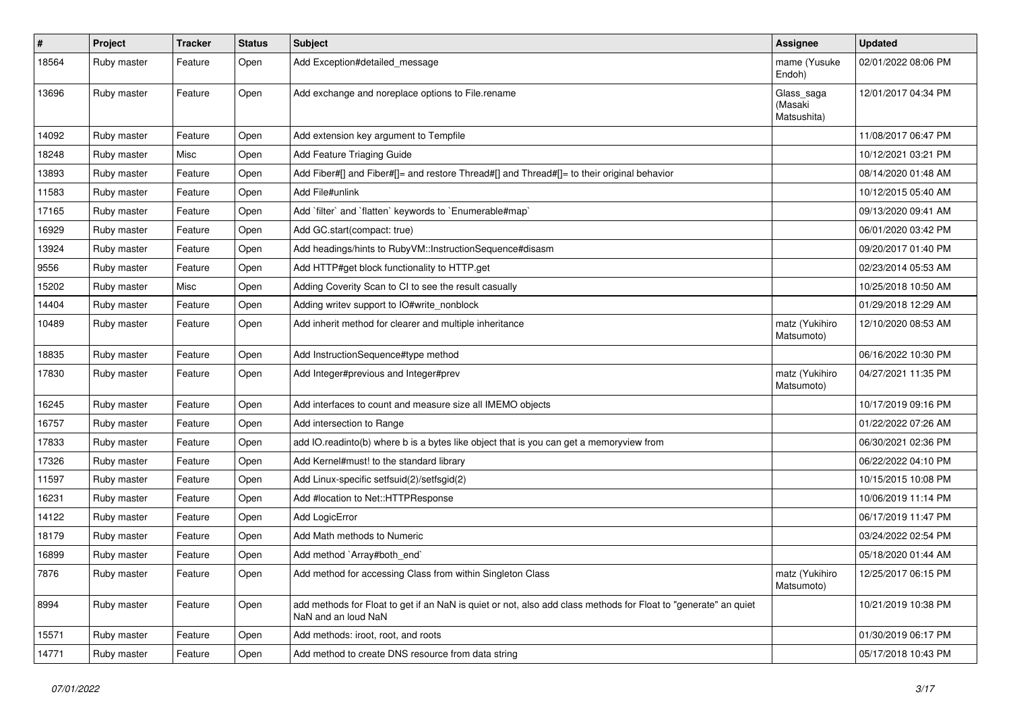| #     | Project     | <b>Tracker</b> | <b>Status</b> | <b>Subject</b>                                                                                                                         | <b>Assignee</b>                      | <b>Updated</b>      |
|-------|-------------|----------------|---------------|----------------------------------------------------------------------------------------------------------------------------------------|--------------------------------------|---------------------|
| 18564 | Ruby master | Feature        | Open          | Add Exception#detailed_message                                                                                                         | mame (Yusuke<br>Endoh)               | 02/01/2022 08:06 PM |
| 13696 | Ruby master | Feature        | Open          | Add exchange and noreplace options to File.rename                                                                                      | Glass_saga<br>(Masaki<br>Matsushita) | 12/01/2017 04:34 PM |
| 14092 | Ruby master | Feature        | Open          | Add extension key argument to Tempfile                                                                                                 |                                      | 11/08/2017 06:47 PM |
| 18248 | Ruby master | Misc           | Open          | Add Feature Triaging Guide                                                                                                             |                                      | 10/12/2021 03:21 PM |
| 13893 | Ruby master | Feature        | Open          | Add Fiber#[] and Fiber#[]= and restore Thread#[] and Thread#[]= to their original behavior                                             |                                      | 08/14/2020 01:48 AM |
| 11583 | Ruby master | Feature        | Open          | Add File#unlink                                                                                                                        |                                      | 10/12/2015 05:40 AM |
| 17165 | Ruby master | Feature        | Open          | Add `filter` and `flatten` keywords to `Enumerable#map`                                                                                |                                      | 09/13/2020 09:41 AM |
| 16929 | Ruby master | Feature        | Open          | Add GC.start(compact: true)                                                                                                            |                                      | 06/01/2020 03:42 PM |
| 13924 | Ruby master | Feature        | Open          | Add headings/hints to RubyVM::InstructionSequence#disasm                                                                               |                                      | 09/20/2017 01:40 PM |
| 9556  | Ruby master | Feature        | Open          | Add HTTP#get block functionality to HTTP.get                                                                                           |                                      | 02/23/2014 05:53 AM |
| 15202 | Ruby master | Misc           | Open          | Adding Coverity Scan to CI to see the result casually                                                                                  |                                      | 10/25/2018 10:50 AM |
| 14404 | Ruby master | Feature        | Open          | Adding writev support to IO#write_nonblock                                                                                             |                                      | 01/29/2018 12:29 AM |
| 10489 | Ruby master | Feature        | Open          | Add inherit method for clearer and multiple inheritance                                                                                | matz (Yukihiro<br>Matsumoto)         | 12/10/2020 08:53 AM |
| 18835 | Ruby master | Feature        | Open          | Add InstructionSequence#type method                                                                                                    |                                      | 06/16/2022 10:30 PM |
| 17830 | Ruby master | Feature        | Open          | Add Integer#previous and Integer#prev                                                                                                  | matz (Yukihiro<br>Matsumoto)         | 04/27/2021 11:35 PM |
| 16245 | Ruby master | Feature        | Open          | Add interfaces to count and measure size all IMEMO objects                                                                             |                                      | 10/17/2019 09:16 PM |
| 16757 | Ruby master | Feature        | Open          | Add intersection to Range                                                                                                              |                                      | 01/22/2022 07:26 AM |
| 17833 | Ruby master | Feature        | Open          | add IO.readinto(b) where b is a bytes like object that is you can get a memoryview from                                                |                                      | 06/30/2021 02:36 PM |
| 17326 | Ruby master | Feature        | Open          | Add Kernel#must! to the standard library                                                                                               |                                      | 06/22/2022 04:10 PM |
| 11597 | Ruby master | Feature        | Open          | Add Linux-specific setfsuid(2)/setfsgid(2)                                                                                             |                                      | 10/15/2015 10:08 PM |
| 16231 | Ruby master | Feature        | Open          | Add #location to Net::HTTPResponse                                                                                                     |                                      | 10/06/2019 11:14 PM |
| 14122 | Ruby master | Feature        | Open          | Add LogicError                                                                                                                         |                                      | 06/17/2019 11:47 PM |
| 18179 | Ruby master | Feature        | Open          | Add Math methods to Numeric                                                                                                            |                                      | 03/24/2022 02:54 PM |
| 16899 | Ruby master | Feature        | Open          | Add method `Array#both_end`                                                                                                            |                                      | 05/18/2020 01:44 AM |
| 7876  | Ruby master | Feature        | Open          | Add method for accessing Class from within Singleton Class                                                                             | matz (Yukihiro<br>Matsumoto)         | 12/25/2017 06:15 PM |
| 8994  | Ruby master | Feature        | Open          | add methods for Float to get if an NaN is quiet or not, also add class methods for Float to "generate" an quiet<br>NaN and an loud NaN |                                      | 10/21/2019 10:38 PM |
| 15571 | Ruby master | Feature        | Open          | Add methods: iroot, root, and roots                                                                                                    |                                      | 01/30/2019 06:17 PM |
| 14771 | Ruby master | Feature        | Open          | Add method to create DNS resource from data string                                                                                     |                                      | 05/17/2018 10:43 PM |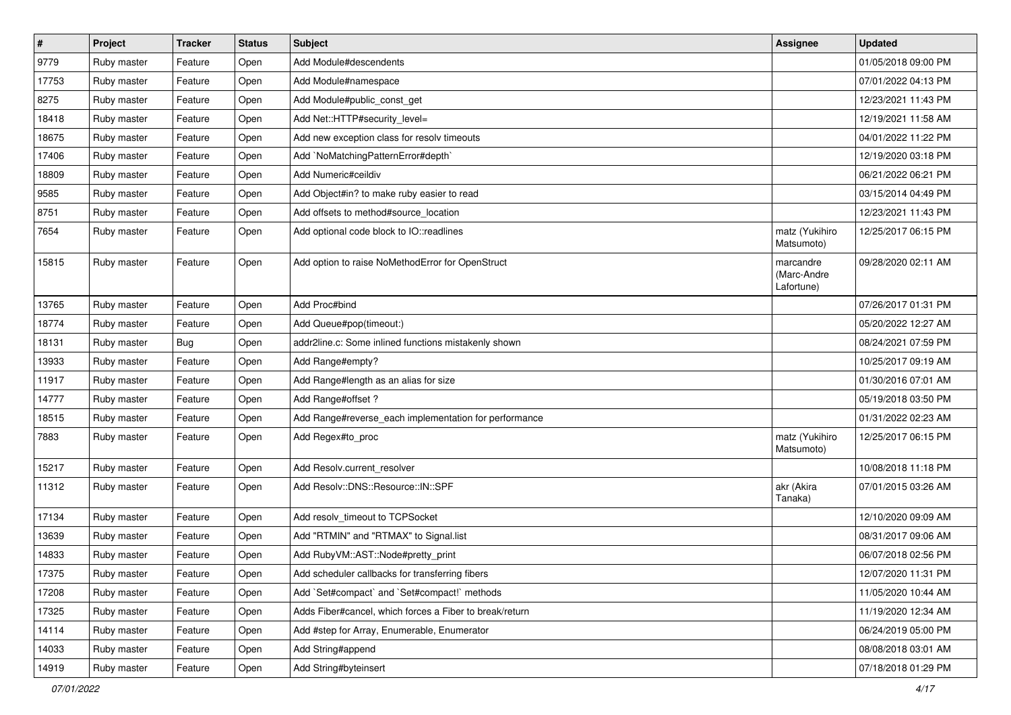| $\sharp$ | Project     | <b>Tracker</b> | <b>Status</b> | <b>Subject</b>                                          | <b>Assignee</b>                        | <b>Updated</b>      |
|----------|-------------|----------------|---------------|---------------------------------------------------------|----------------------------------------|---------------------|
| 9779     | Ruby master | Feature        | Open          | Add Module#descendents                                  |                                        | 01/05/2018 09:00 PM |
| 17753    | Ruby master | Feature        | Open          | Add Module#namespace                                    |                                        | 07/01/2022 04:13 PM |
| 8275     | Ruby master | Feature        | Open          | Add Module#public_const_get                             |                                        | 12/23/2021 11:43 PM |
| 18418    | Ruby master | Feature        | Open          | Add Net::HTTP#security_level=                           |                                        | 12/19/2021 11:58 AM |
| 18675    | Ruby master | Feature        | Open          | Add new exception class for resolv timeouts             |                                        | 04/01/2022 11:22 PM |
| 17406    | Ruby master | Feature        | Open          | Add `NoMatchingPatternError#depth`                      |                                        | 12/19/2020 03:18 PM |
| 18809    | Ruby master | Feature        | Open          | Add Numeric#ceildiv                                     |                                        | 06/21/2022 06:21 PM |
| 9585     | Ruby master | Feature        | Open          | Add Object#in? to make ruby easier to read              |                                        | 03/15/2014 04:49 PM |
| 8751     | Ruby master | Feature        | Open          | Add offsets to method#source_location                   |                                        | 12/23/2021 11:43 PM |
| 7654     | Ruby master | Feature        | Open          | Add optional code block to IO::readlines                | matz (Yukihiro<br>Matsumoto)           | 12/25/2017 06:15 PM |
| 15815    | Ruby master | Feature        | Open          | Add option to raise NoMethodError for OpenStruct        | marcandre<br>(Marc-Andre<br>Lafortune) | 09/28/2020 02:11 AM |
| 13765    | Ruby master | Feature        | Open          | Add Proc#bind                                           |                                        | 07/26/2017 01:31 PM |
| 18774    | Ruby master | Feature        | Open          | Add Queue#pop(timeout:)                                 |                                        | 05/20/2022 12:27 AM |
| 18131    | Ruby master | <b>Bug</b>     | Open          | addr2line.c: Some inlined functions mistakenly shown    |                                        | 08/24/2021 07:59 PM |
| 13933    | Ruby master | Feature        | Open          | Add Range#empty?                                        |                                        | 10/25/2017 09:19 AM |
| 11917    | Ruby master | Feature        | Open          | Add Range#length as an alias for size                   |                                        | 01/30/2016 07:01 AM |
| 14777    | Ruby master | Feature        | Open          | Add Range#offset?                                       |                                        | 05/19/2018 03:50 PM |
| 18515    | Ruby master | Feature        | Open          | Add Range#reverse_each implementation for performance   |                                        | 01/31/2022 02:23 AM |
| 7883     | Ruby master | Feature        | Open          | Add Regex#to_proc                                       | matz (Yukihiro<br>Matsumoto)           | 12/25/2017 06:15 PM |
| 15217    | Ruby master | Feature        | Open          | Add Resolv.current_resolver                             |                                        | 10/08/2018 11:18 PM |
| 11312    | Ruby master | Feature        | Open          | Add Resolv::DNS::Resource::IN::SPF                      | akr (Akira<br>Tanaka)                  | 07/01/2015 03:26 AM |
| 17134    | Ruby master | Feature        | Open          | Add resolv timeout to TCPSocket                         |                                        | 12/10/2020 09:09 AM |
| 13639    | Ruby master | Feature        | Open          | Add "RTMIN" and "RTMAX" to Signal.list                  |                                        | 08/31/2017 09:06 AM |
| 14833    | Ruby master | Feature        | Open          | Add RubyVM::AST::Node#pretty_print                      |                                        | 06/07/2018 02:56 PM |
| 17375    | Ruby master | Feature        | Open          | Add scheduler callbacks for transferring fibers         |                                        | 12/07/2020 11:31 PM |
| 17208    | Ruby master | Feature        | Open          | Add `Set#compact` and `Set#compact!` methods            |                                        | 11/05/2020 10:44 AM |
| 17325    | Ruby master | Feature        | Open          | Adds Fiber#cancel, which forces a Fiber to break/return |                                        | 11/19/2020 12:34 AM |
| 14114    | Ruby master | Feature        | Open          | Add #step for Array, Enumerable, Enumerator             |                                        | 06/24/2019 05:00 PM |
| 14033    | Ruby master | Feature        | Open          | Add String#append                                       |                                        | 08/08/2018 03:01 AM |
| 14919    | Ruby master | Feature        | Open          | Add String#byteinsert                                   |                                        | 07/18/2018 01:29 PM |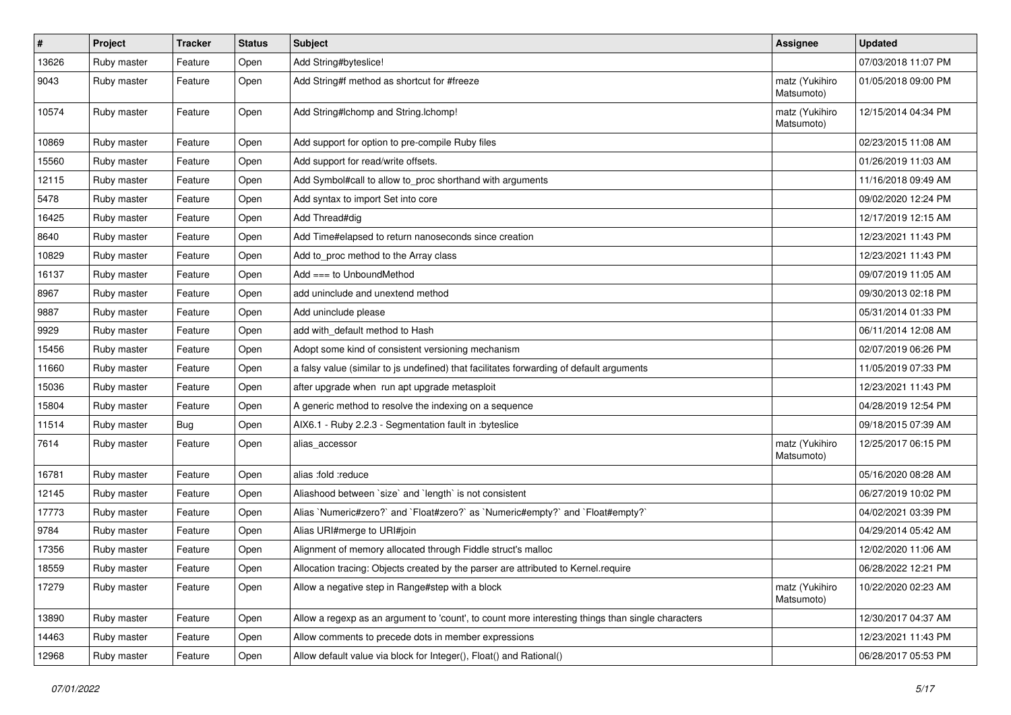| $\vert$ # | Project     | <b>Tracker</b> | <b>Status</b> | Subject                                                                                           | <b>Assignee</b>              | <b>Updated</b>      |
|-----------|-------------|----------------|---------------|---------------------------------------------------------------------------------------------------|------------------------------|---------------------|
| 13626     | Ruby master | Feature        | Open          | Add String#byteslice!                                                                             |                              | 07/03/2018 11:07 PM |
| 9043      | Ruby master | Feature        | Open          | Add String#f method as shortcut for #freeze                                                       | matz (Yukihiro<br>Matsumoto) | 01/05/2018 09:00 PM |
| 10574     | Ruby master | Feature        | Open          | Add String#Ichomp and String.Ichomp!                                                              | matz (Yukihiro<br>Matsumoto) | 12/15/2014 04:34 PM |
| 10869     | Ruby master | Feature        | Open          | Add support for option to pre-compile Ruby files                                                  |                              | 02/23/2015 11:08 AM |
| 15560     | Ruby master | Feature        | Open          | Add support for read/write offsets.                                                               |                              | 01/26/2019 11:03 AM |
| 12115     | Ruby master | Feature        | Open          | Add Symbol#call to allow to_proc shorthand with arguments                                         |                              | 11/16/2018 09:49 AM |
| 5478      | Ruby master | Feature        | Open          | Add syntax to import Set into core                                                                |                              | 09/02/2020 12:24 PM |
| 16425     | Ruby master | Feature        | Open          | Add Thread#dig                                                                                    |                              | 12/17/2019 12:15 AM |
| 8640      | Ruby master | Feature        | Open          | Add Time#elapsed to return nanoseconds since creation                                             |                              | 12/23/2021 11:43 PM |
| 10829     | Ruby master | Feature        | Open          | Add to_proc method to the Array class                                                             |                              | 12/23/2021 11:43 PM |
| 16137     | Ruby master | Feature        | Open          | Add $==$ to UnboundMethod                                                                         |                              | 09/07/2019 11:05 AM |
| 8967      | Ruby master | Feature        | Open          | add uninclude and unextend method                                                                 |                              | 09/30/2013 02:18 PM |
| 9887      | Ruby master | Feature        | Open          | Add uninclude please                                                                              |                              | 05/31/2014 01:33 PM |
| 9929      | Ruby master | Feature        | Open          | add with_default method to Hash                                                                   |                              | 06/11/2014 12:08 AM |
| 15456     | Ruby master | Feature        | Open          | Adopt some kind of consistent versioning mechanism                                                |                              | 02/07/2019 06:26 PM |
| 11660     | Ruby master | Feature        | Open          | a falsy value (similar to js undefined) that facilitates forwarding of default arguments          |                              | 11/05/2019 07:33 PM |
| 15036     | Ruby master | Feature        | Open          | after upgrade when run apt upgrade metasploit                                                     |                              | 12/23/2021 11:43 PM |
| 15804     | Ruby master | Feature        | Open          | A generic method to resolve the indexing on a sequence                                            |                              | 04/28/2019 12:54 PM |
| 11514     | Ruby master | Bug            | Open          | AIX6.1 - Ruby 2.2.3 - Segmentation fault in :byteslice                                            |                              | 09/18/2015 07:39 AM |
| 7614      | Ruby master | Feature        | Open          | alias_accessor                                                                                    | matz (Yukihiro<br>Matsumoto) | 12/25/2017 06:15 PM |
| 16781     | Ruby master | Feature        | Open          | alias :fold :reduce                                                                               |                              | 05/16/2020 08:28 AM |
| 12145     | Ruby master | Feature        | Open          | Aliashood between 'size' and 'length' is not consistent                                           |                              | 06/27/2019 10:02 PM |
| 17773     | Ruby master | Feature        | Open          | Alias `Numeric#zero?` and `Float#zero?` as `Numeric#empty?` and `Float#empty?`                    |                              | 04/02/2021 03:39 PM |
| 9784      | Ruby master | Feature        | Open          | Alias URI#merge to URI#join                                                                       |                              | 04/29/2014 05:42 AM |
| 17356     | Ruby master | Feature        | Open          | Alignment of memory allocated through Fiddle struct's malloc                                      |                              | 12/02/2020 11:06 AM |
| 18559     | Ruby master | Feature        | Open          | Allocation tracing: Objects created by the parser are attributed to Kernel.require                |                              | 06/28/2022 12:21 PM |
| 17279     | Ruby master | Feature        | Open          | Allow a negative step in Range#step with a block                                                  | matz (Yukihiro<br>Matsumoto) | 10/22/2020 02:23 AM |
| 13890     | Ruby master | Feature        | Open          | Allow a regexp as an argument to 'count', to count more interesting things than single characters |                              | 12/30/2017 04:37 AM |
| 14463     | Ruby master | Feature        | Open          | Allow comments to precede dots in member expressions                                              |                              | 12/23/2021 11:43 PM |
| 12968     | Ruby master | Feature        | Open          | Allow default value via block for Integer(), Float() and Rational()                               |                              | 06/28/2017 05:53 PM |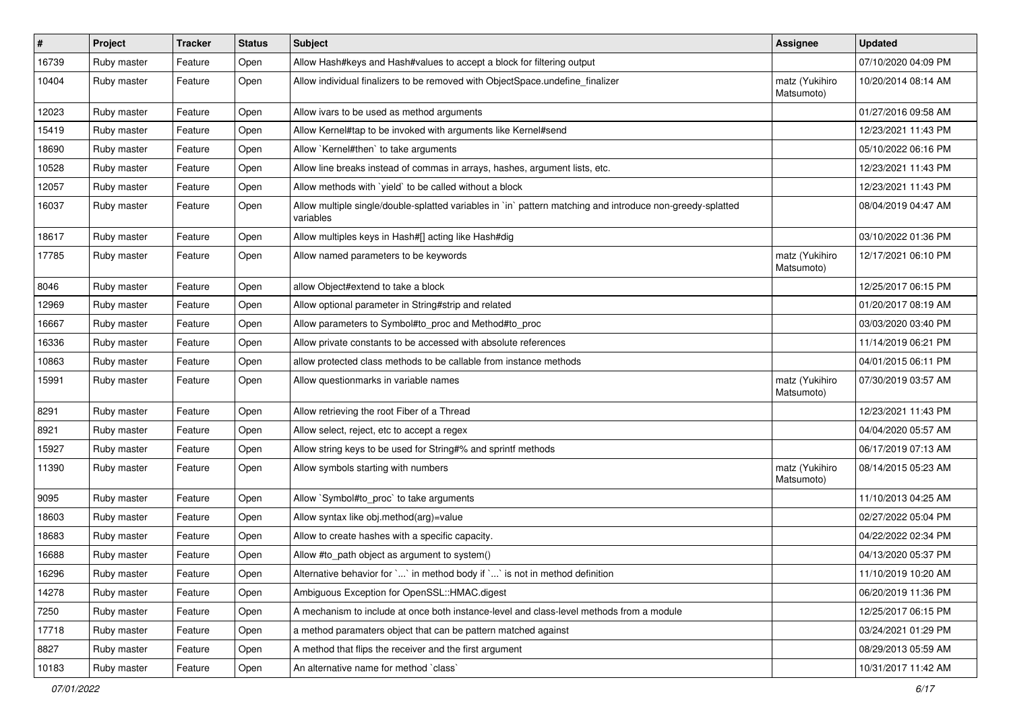| $\vert$ # | Project     | <b>Tracker</b> | <b>Status</b> | <b>Subject</b>                                                                                                          | <b>Assignee</b>              | <b>Updated</b>      |
|-----------|-------------|----------------|---------------|-------------------------------------------------------------------------------------------------------------------------|------------------------------|---------------------|
| 16739     | Ruby master | Feature        | Open          | Allow Hash#keys and Hash#values to accept a block for filtering output                                                  |                              | 07/10/2020 04:09 PM |
| 10404     | Ruby master | Feature        | Open          | Allow individual finalizers to be removed with ObjectSpace.undefine_finalizer                                           | matz (Yukihiro<br>Matsumoto) | 10/20/2014 08:14 AM |
| 12023     | Ruby master | Feature        | Open          | Allow ivars to be used as method arguments                                                                              |                              | 01/27/2016 09:58 AM |
| 15419     | Ruby master | Feature        | Open          | Allow Kernel#tap to be invoked with arguments like Kernel#send                                                          |                              | 12/23/2021 11:43 PM |
| 18690     | Ruby master | Feature        | Open          | Allow `Kernel#then` to take arguments                                                                                   |                              | 05/10/2022 06:16 PM |
| 10528     | Ruby master | Feature        | Open          | Allow line breaks instead of commas in arrays, hashes, argument lists, etc.                                             |                              | 12/23/2021 11:43 PM |
| 12057     | Ruby master | Feature        | Open          | Allow methods with `yield` to be called without a block                                                                 |                              | 12/23/2021 11:43 PM |
| 16037     | Ruby master | Feature        | Open          | Allow multiple single/double-splatted variables in `in` pattern matching and introduce non-greedy-splatted<br>variables |                              | 08/04/2019 04:47 AM |
| 18617     | Ruby master | Feature        | Open          | Allow multiples keys in Hash#[] acting like Hash#dig                                                                    |                              | 03/10/2022 01:36 PM |
| 17785     | Ruby master | Feature        | Open          | Allow named parameters to be keywords                                                                                   | matz (Yukihiro<br>Matsumoto) | 12/17/2021 06:10 PM |
| 8046      | Ruby master | Feature        | Open          | allow Object#extend to take a block                                                                                     |                              | 12/25/2017 06:15 PM |
| 12969     | Ruby master | Feature        | Open          | Allow optional parameter in String#strip and related                                                                    |                              | 01/20/2017 08:19 AM |
| 16667     | Ruby master | Feature        | Open          | Allow parameters to Symbol#to_proc and Method#to_proc                                                                   |                              | 03/03/2020 03:40 PM |
| 16336     | Ruby master | Feature        | Open          | Allow private constants to be accessed with absolute references                                                         |                              | 11/14/2019 06:21 PM |
| 10863     | Ruby master | Feature        | Open          | allow protected class methods to be callable from instance methods                                                      |                              | 04/01/2015 06:11 PM |
| 15991     | Ruby master | Feature        | Open          | Allow questionmarks in variable names                                                                                   | matz (Yukihiro<br>Matsumoto) | 07/30/2019 03:57 AM |
| 8291      | Ruby master | Feature        | Open          | Allow retrieving the root Fiber of a Thread                                                                             |                              | 12/23/2021 11:43 PM |
| 8921      | Ruby master | Feature        | Open          | Allow select, reject, etc to accept a regex                                                                             |                              | 04/04/2020 05:57 AM |
| 15927     | Ruby master | Feature        | Open          | Allow string keys to be used for String#% and sprintf methods                                                           |                              | 06/17/2019 07:13 AM |
| 11390     | Ruby master | Feature        | Open          | Allow symbols starting with numbers                                                                                     | matz (Yukihiro<br>Matsumoto) | 08/14/2015 05:23 AM |
| 9095      | Ruby master | Feature        | Open          | Allow `Symbol#to_proc` to take arguments                                                                                |                              | 11/10/2013 04:25 AM |
| 18603     | Ruby master | Feature        | Open          | Allow syntax like obj.method(arg)=value                                                                                 |                              | 02/27/2022 05:04 PM |
| 18683     | Ruby master | Feature        | Open          | Allow to create hashes with a specific capacity.                                                                        |                              | 04/22/2022 02:34 PM |
| 16688     | Ruby master | Feature        | Open          | Allow #to_path object as argument to system()                                                                           |                              | 04/13/2020 05:37 PM |
| 16296     | Ruby master | Feature        | Open          | Alternative behavior for $\ldots$ in method body if $\ldots$ is not in method definition                                |                              | 11/10/2019 10:20 AM |
| 14278     | Ruby master | Feature        | Open          | Ambiguous Exception for OpenSSL::HMAC.digest                                                                            |                              | 06/20/2019 11:36 PM |
| 7250      | Ruby master | Feature        | Open          | A mechanism to include at once both instance-level and class-level methods from a module                                |                              | 12/25/2017 06:15 PM |
| 17718     | Ruby master | Feature        | Open          | a method paramaters object that can be pattern matched against                                                          |                              | 03/24/2021 01:29 PM |
| 8827      | Ruby master | Feature        | Open          | A method that flips the receiver and the first argument                                                                 |                              | 08/29/2013 05:59 AM |
| 10183     | Ruby master | Feature        | Open          | An alternative name for method `class`                                                                                  |                              | 10/31/2017 11:42 AM |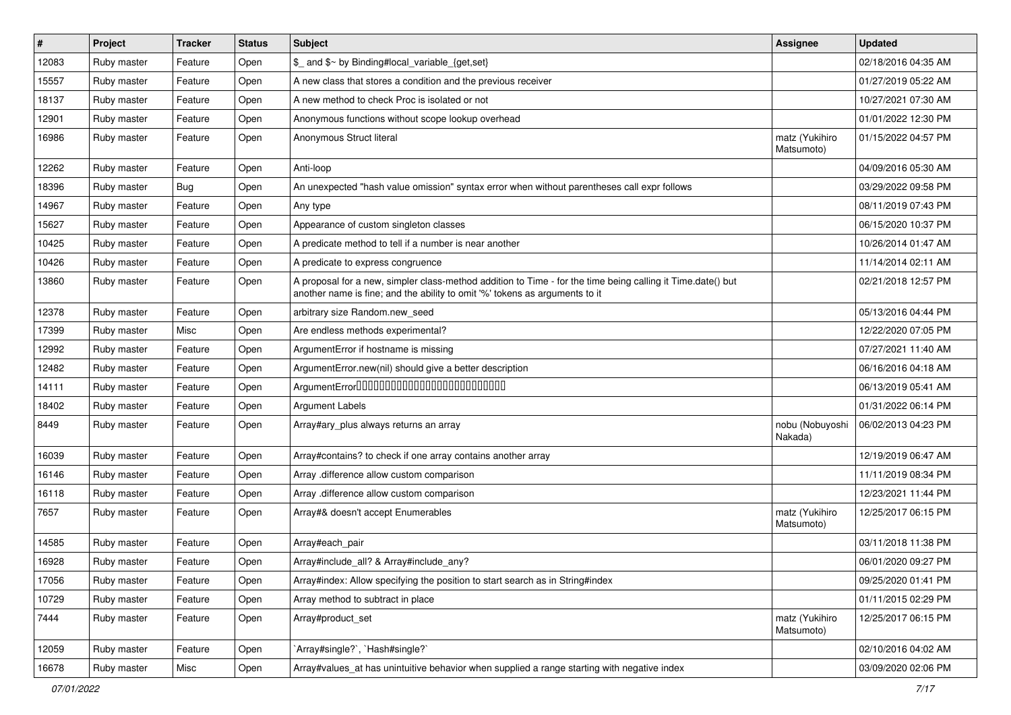| #     | Project     | <b>Tracker</b> | <b>Status</b> | Subject                                                                                                                                                                                    | Assignee                     | <b>Updated</b>      |
|-------|-------------|----------------|---------------|--------------------------------------------------------------------------------------------------------------------------------------------------------------------------------------------|------------------------------|---------------------|
| 12083 | Ruby master | Feature        | Open          | \$_ and \$~ by Binding#local_variable_{get,set}                                                                                                                                            |                              | 02/18/2016 04:35 AM |
| 15557 | Ruby master | Feature        | Open          | A new class that stores a condition and the previous receiver                                                                                                                              |                              | 01/27/2019 05:22 AM |
| 18137 | Ruby master | Feature        | Open          | A new method to check Proc is isolated or not                                                                                                                                              |                              | 10/27/2021 07:30 AM |
| 12901 | Ruby master | Feature        | Open          | Anonymous functions without scope lookup overhead                                                                                                                                          |                              | 01/01/2022 12:30 PM |
| 16986 | Ruby master | Feature        | Open          | Anonymous Struct literal                                                                                                                                                                   | matz (Yukihiro<br>Matsumoto) | 01/15/2022 04:57 PM |
| 12262 | Ruby master | Feature        | Open          | Anti-loop                                                                                                                                                                                  |                              | 04/09/2016 05:30 AM |
| 18396 | Ruby master | <b>Bug</b>     | Open          | An unexpected "hash value omission" syntax error when without parentheses call expr follows                                                                                                |                              | 03/29/2022 09:58 PM |
| 14967 | Ruby master | Feature        | Open          | Any type                                                                                                                                                                                   |                              | 08/11/2019 07:43 PM |
| 15627 | Ruby master | Feature        | Open          | Appearance of custom singleton classes                                                                                                                                                     |                              | 06/15/2020 10:37 PM |
| 10425 | Ruby master | Feature        | Open          | A predicate method to tell if a number is near another                                                                                                                                     |                              | 10/26/2014 01:47 AM |
| 10426 | Ruby master | Feature        | Open          | A predicate to express congruence                                                                                                                                                          |                              | 11/14/2014 02:11 AM |
| 13860 | Ruby master | Feature        | Open          | A proposal for a new, simpler class-method addition to Time - for the time being calling it Time.date() but<br>another name is fine; and the ability to omit '%' tokens as arguments to it |                              | 02/21/2018 12:57 PM |
| 12378 | Ruby master | Feature        | Open          | arbitrary size Random.new_seed                                                                                                                                                             |                              | 05/13/2016 04:44 PM |
| 17399 | Ruby master | Misc           | Open          | Are endless methods experimental?                                                                                                                                                          |                              | 12/22/2020 07:05 PM |
| 12992 | Ruby master | Feature        | Open          | ArgumentError if hostname is missing                                                                                                                                                       |                              | 07/27/2021 11:40 AM |
| 12482 | Ruby master | Feature        | Open          | ArgumentError.new(nil) should give a better description                                                                                                                                    |                              | 06/16/2016 04:18 AM |
| 14111 | Ruby master | Feature        | Open          | ArgumentError00000000000000000000000000                                                                                                                                                    |                              | 06/13/2019 05:41 AM |
| 18402 | Ruby master | Feature        | Open          | <b>Argument Labels</b>                                                                                                                                                                     |                              | 01/31/2022 06:14 PM |
| 8449  | Ruby master | Feature        | Open          | Array#ary_plus always returns an array                                                                                                                                                     | nobu (Nobuyoshi<br>Nakada)   | 06/02/2013 04:23 PM |
| 16039 | Ruby master | Feature        | Open          | Array#contains? to check if one array contains another array                                                                                                                               |                              | 12/19/2019 06:47 AM |
| 16146 | Ruby master | Feature        | Open          | Array .difference allow custom comparison                                                                                                                                                  |                              | 11/11/2019 08:34 PM |
| 16118 | Ruby master | Feature        | Open          | Array .difference allow custom comparison                                                                                                                                                  |                              | 12/23/2021 11:44 PM |
| 7657  | Ruby master | Feature        | Open          | Array#& doesn't accept Enumerables                                                                                                                                                         | matz (Yukihiro<br>Matsumoto) | 12/25/2017 06:15 PM |
| 14585 | Ruby master | Feature        | Open          | Array#each_pair                                                                                                                                                                            |                              | 03/11/2018 11:38 PM |
| 16928 | Ruby master | Feature        | Open          | Array#include_all? & Array#include_any?                                                                                                                                                    |                              | 06/01/2020 09:27 PM |
| 17056 | Ruby master | Feature        | Open          | Array#index: Allow specifying the position to start search as in String#index                                                                                                              |                              | 09/25/2020 01:41 PM |
| 10729 | Ruby master | Feature        | Open          | Array method to subtract in place                                                                                                                                                          |                              | 01/11/2015 02:29 PM |
| 7444  | Ruby master | Feature        | Open          | Array#product_set                                                                                                                                                                          | matz (Yukihiro<br>Matsumoto) | 12/25/2017 06:15 PM |
| 12059 | Ruby master | Feature        | Open          | `Array#single?`, `Hash#single?`                                                                                                                                                            |                              | 02/10/2016 04:02 AM |
| 16678 | Ruby master | Misc           | Open          | Array#values_at has unintuitive behavior when supplied a range starting with negative index                                                                                                |                              | 03/09/2020 02:06 PM |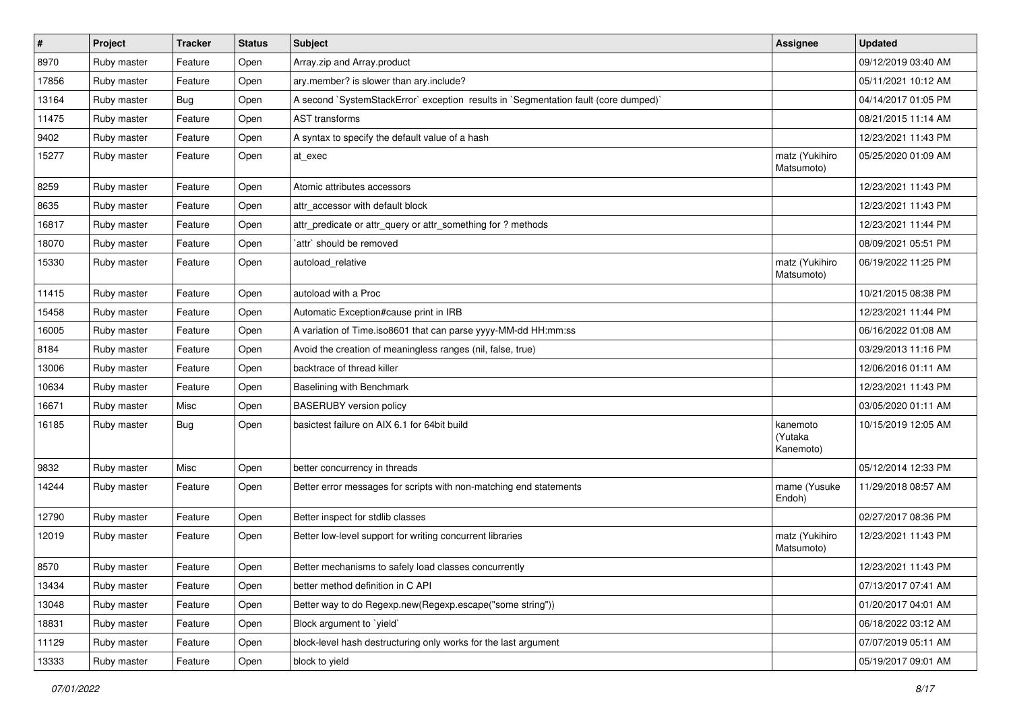| $\pmb{\#}$ | Project     | <b>Tracker</b> | <b>Status</b> | Subject                                                                             | Assignee                         | <b>Updated</b>      |
|------------|-------------|----------------|---------------|-------------------------------------------------------------------------------------|----------------------------------|---------------------|
| 8970       | Ruby master | Feature        | Open          | Array.zip and Array.product                                                         |                                  | 09/12/2019 03:40 AM |
| 17856      | Ruby master | Feature        | Open          | ary.member? is slower than ary.include?                                             |                                  | 05/11/2021 10:12 AM |
| 13164      | Ruby master | <b>Bug</b>     | Open          | A second `SystemStackError` exception results in `Segmentation fault (core dumped)` |                                  | 04/14/2017 01:05 PM |
| 11475      | Ruby master | Feature        | Open          | <b>AST</b> transforms                                                               |                                  | 08/21/2015 11:14 AM |
| 9402       | Ruby master | Feature        | Open          | A syntax to specify the default value of a hash                                     |                                  | 12/23/2021 11:43 PM |
| 15277      | Ruby master | Feature        | Open          | at exec                                                                             | matz (Yukihiro<br>Matsumoto)     | 05/25/2020 01:09 AM |
| 8259       | Ruby master | Feature        | Open          | Atomic attributes accessors                                                         |                                  | 12/23/2021 11:43 PM |
| 8635       | Ruby master | Feature        | Open          | attr accessor with default block                                                    |                                  | 12/23/2021 11:43 PM |
| 16817      | Ruby master | Feature        | Open          | attr_predicate or attr_query or attr_something for ? methods                        |                                  | 12/23/2021 11:44 PM |
| 18070      | Ruby master | Feature        | Open          | `attr` should be removed                                                            |                                  | 08/09/2021 05:51 PM |
| 15330      | Ruby master | Feature        | Open          | autoload relative                                                                   | matz (Yukihiro<br>Matsumoto)     | 06/19/2022 11:25 PM |
| 11415      | Ruby master | Feature        | Open          | autoload with a Proc                                                                |                                  | 10/21/2015 08:38 PM |
| 15458      | Ruby master | Feature        | Open          | Automatic Exception#cause print in IRB                                              |                                  | 12/23/2021 11:44 PM |
| 16005      | Ruby master | Feature        | Open          | A variation of Time.iso8601 that can parse yyyy-MM-dd HH:mm:ss                      |                                  | 06/16/2022 01:08 AM |
| 8184       | Ruby master | Feature        | Open          | Avoid the creation of meaningless ranges (nil, false, true)                         |                                  | 03/29/2013 11:16 PM |
| 13006      | Ruby master | Feature        | Open          | backtrace of thread killer                                                          |                                  | 12/06/2016 01:11 AM |
| 10634      | Ruby master | Feature        | Open          | Baselining with Benchmark                                                           |                                  | 12/23/2021 11:43 PM |
| 16671      | Ruby master | Misc           | Open          | <b>BASERUBY</b> version policy                                                      |                                  | 03/05/2020 01:11 AM |
| 16185      | Ruby master | <b>Bug</b>     | Open          | basictest failure on AIX 6.1 for 64bit build                                        | kanemoto<br>(Yutaka<br>Kanemoto) | 10/15/2019 12:05 AM |
| 9832       | Ruby master | Misc           | Open          | better concurrency in threads                                                       |                                  | 05/12/2014 12:33 PM |
| 14244      | Ruby master | Feature        | Open          | Better error messages for scripts with non-matching end statements                  | mame (Yusuke<br>Endoh)           | 11/29/2018 08:57 AM |
| 12790      | Ruby master | Feature        | Open          | Better inspect for stdlib classes                                                   |                                  | 02/27/2017 08:36 PM |
| 12019      | Ruby master | Feature        | Open          | Better low-level support for writing concurrent libraries                           | matz (Yukihiro<br>Matsumoto)     | 12/23/2021 11:43 PM |
| 8570       | Ruby master | Feature        | Open          | Better mechanisms to safely load classes concurrently                               |                                  | 12/23/2021 11:43 PM |
| 13434      | Ruby master | Feature        | Open          | better method definition in C API                                                   |                                  | 07/13/2017 07:41 AM |
| 13048      | Ruby master | Feature        | Open          | Better way to do Regexp.new(Regexp.escape("some string"))                           |                                  | 01/20/2017 04:01 AM |
| 18831      | Ruby master | Feature        | Open          | Block argument to `yield`                                                           |                                  | 06/18/2022 03:12 AM |
| 11129      | Ruby master | Feature        | Open          | block-level hash destructuring only works for the last argument                     |                                  | 07/07/2019 05:11 AM |
| 13333      | Ruby master | Feature        | Open          | block to yield                                                                      |                                  | 05/19/2017 09:01 AM |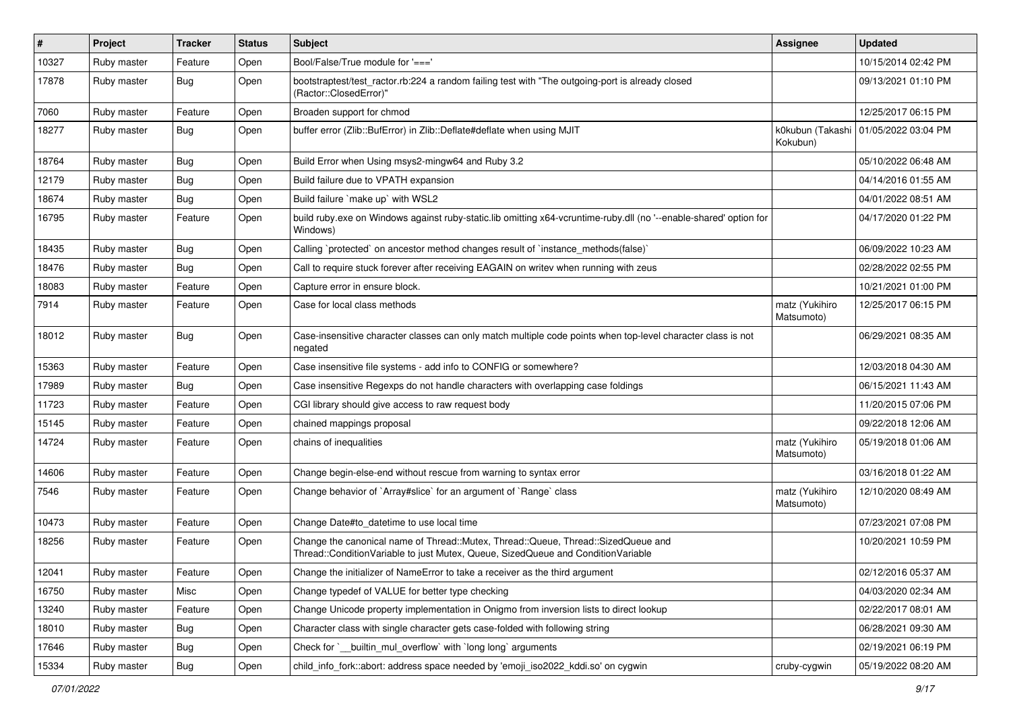| $\vert$ # | Project     | <b>Tracker</b> | <b>Status</b> | Subject                                                                                                                                                               | <b>Assignee</b>              | <b>Updated</b>      |
|-----------|-------------|----------------|---------------|-----------------------------------------------------------------------------------------------------------------------------------------------------------------------|------------------------------|---------------------|
| 10327     | Ruby master | Feature        | Open          | Bool/False/True module for '==='                                                                                                                                      |                              | 10/15/2014 02:42 PM |
| 17878     | Ruby master | <b>Bug</b>     | Open          | bootstraptest/test_ractor.rb:224 a random failing test with "The outgoing-port is already closed<br>(Ractor::ClosedError)"                                            |                              | 09/13/2021 01:10 PM |
| 7060      | Ruby master | Feature        | Open          | Broaden support for chmod                                                                                                                                             |                              | 12/25/2017 06:15 PM |
| 18277     | Ruby master | Bug            | Open          | buffer error (Zlib::BufError) in Zlib::Deflate#deflate when using MJIT                                                                                                | k0kubun (Takashi<br>Kokubun) | 01/05/2022 03:04 PM |
| 18764     | Ruby master | <b>Bug</b>     | Open          | Build Error when Using msys2-mingw64 and Ruby 3.2                                                                                                                     |                              | 05/10/2022 06:48 AM |
| 12179     | Ruby master | <b>Bug</b>     | Open          | Build failure due to VPATH expansion                                                                                                                                  |                              | 04/14/2016 01:55 AM |
| 18674     | Ruby master | <b>Bug</b>     | Open          | Build failure `make up` with WSL2                                                                                                                                     |                              | 04/01/2022 08:51 AM |
| 16795     | Ruby master | Feature        | Open          | build ruby.exe on Windows against ruby-static.lib omitting x64-vcruntime-ruby.dll (no '--enable-shared' option for<br>Windows)                                        |                              | 04/17/2020 01:22 PM |
| 18435     | Ruby master | <b>Bug</b>     | Open          | Calling `protected` on ancestor method changes result of `instance_methods(false)`                                                                                    |                              | 06/09/2022 10:23 AM |
| 18476     | Ruby master | <b>Bug</b>     | Open          | Call to require stuck forever after receiving EAGAIN on writev when running with zeus                                                                                 |                              | 02/28/2022 02:55 PM |
| 18083     | Ruby master | Feature        | Open          | Capture error in ensure block.                                                                                                                                        |                              | 10/21/2021 01:00 PM |
| 7914      | Ruby master | Feature        | Open          | Case for local class methods                                                                                                                                          | matz (Yukihiro<br>Matsumoto) | 12/25/2017 06:15 PM |
| 18012     | Ruby master | Bug            | Open          | Case-insensitive character classes can only match multiple code points when top-level character class is not<br>negated                                               |                              | 06/29/2021 08:35 AM |
| 15363     | Ruby master | Feature        | Open          | Case insensitive file systems - add info to CONFIG or somewhere?                                                                                                      |                              | 12/03/2018 04:30 AM |
| 17989     | Ruby master | Bug            | Open          | Case insensitive Regexps do not handle characters with overlapping case foldings                                                                                      |                              | 06/15/2021 11:43 AM |
| 11723     | Ruby master | Feature        | Open          | CGI library should give access to raw request body                                                                                                                    |                              | 11/20/2015 07:06 PM |
| 15145     | Ruby master | Feature        | Open          | chained mappings proposal                                                                                                                                             |                              | 09/22/2018 12:06 AM |
| 14724     | Ruby master | Feature        | Open          | chains of inequalities                                                                                                                                                | matz (Yukihiro<br>Matsumoto) | 05/19/2018 01:06 AM |
| 14606     | Ruby master | Feature        | Open          | Change begin-else-end without rescue from warning to syntax error                                                                                                     |                              | 03/16/2018 01:22 AM |
| 7546      | Ruby master | Feature        | Open          | Change behavior of `Array#slice` for an argument of `Range` class                                                                                                     | matz (Yukihiro<br>Matsumoto) | 12/10/2020 08:49 AM |
| 10473     | Ruby master | Feature        | Open          | Change Date#to_datetime to use local time                                                                                                                             |                              | 07/23/2021 07:08 PM |
| 18256     | Ruby master | Feature        | Open          | Change the canonical name of Thread::Mutex, Thread::Queue, Thread::SizedQueue and<br>Thread::ConditionVariable to just Mutex, Queue, SizedQueue and ConditionVariable |                              | 10/20/2021 10:59 PM |
| 12041     | Ruby master | Feature        | Open          | Change the initializer of NameError to take a receiver as the third argument                                                                                          |                              | 02/12/2016 05:37 AM |
| 16750     | Ruby master | Misc           | Open          | Change typedef of VALUE for better type checking                                                                                                                      |                              | 04/03/2020 02:34 AM |
| 13240     | Ruby master | Feature        | Open          | Change Unicode property implementation in Onigmo from inversion lists to direct lookup                                                                                |                              | 02/22/2017 08:01 AM |
| 18010     | Ruby master | <b>Bug</b>     | Open          | Character class with single character gets case-folded with following string                                                                                          |                              | 06/28/2021 09:30 AM |
| 17646     | Ruby master | Bug            | Open          | Check for `_builtin_mul_overflow` with `long long` arguments                                                                                                          |                              | 02/19/2021 06:19 PM |
| 15334     | Ruby master | Bug            | Open          | child_info_fork::abort: address space needed by 'emoji_iso2022_kddi.so' on cygwin                                                                                     | cruby-cygwin                 | 05/19/2022 08:20 AM |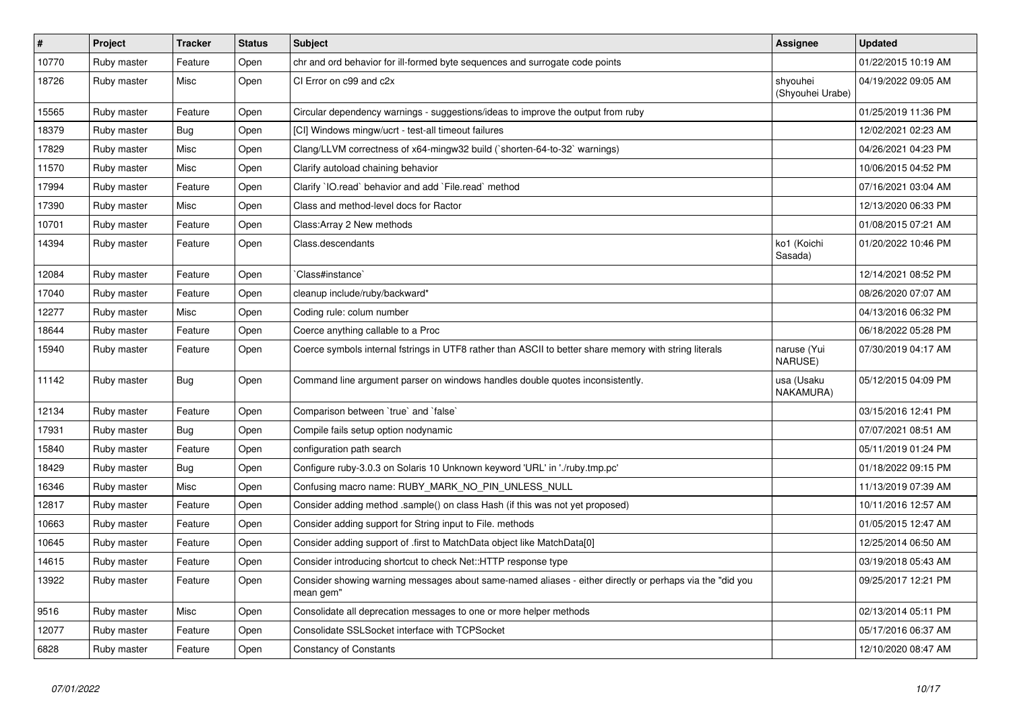| $\vert$ # | Project     | <b>Tracker</b> | <b>Status</b> | <b>Subject</b>                                                                                                        | Assignee                     | <b>Updated</b>      |
|-----------|-------------|----------------|---------------|-----------------------------------------------------------------------------------------------------------------------|------------------------------|---------------------|
| 10770     | Ruby master | Feature        | Open          | chr and ord behavior for ill-formed byte sequences and surrogate code points                                          |                              | 01/22/2015 10:19 AM |
| 18726     | Ruby master | Misc           | Open          | CI Error on c99 and c2x                                                                                               | shyouhei<br>(Shyouhei Urabe) | 04/19/2022 09:05 AM |
| 15565     | Ruby master | Feature        | Open          | Circular dependency warnings - suggestions/ideas to improve the output from ruby                                      |                              | 01/25/2019 11:36 PM |
| 18379     | Ruby master | <b>Bug</b>     | Open          | [CI] Windows mingw/ucrt - test-all timeout failures                                                                   |                              | 12/02/2021 02:23 AM |
| 17829     | Ruby master | Misc           | Open          | Clang/LLVM correctness of x64-mingw32 build (`shorten-64-to-32` warnings)                                             |                              | 04/26/2021 04:23 PM |
| 11570     | Ruby master | Misc           | Open          | Clarify autoload chaining behavior                                                                                    |                              | 10/06/2015 04:52 PM |
| 17994     | Ruby master | Feature        | Open          | Clarify 'IO.read' behavior and add 'File.read' method                                                                 |                              | 07/16/2021 03:04 AM |
| 17390     | Ruby master | Misc           | Open          | Class and method-level docs for Ractor                                                                                |                              | 12/13/2020 06:33 PM |
| 10701     | Ruby master | Feature        | Open          | Class: Array 2 New methods                                                                                            |                              | 01/08/2015 07:21 AM |
| 14394     | Ruby master | Feature        | Open          | Class.descendants                                                                                                     | ko1 (Koichi<br>Sasada)       | 01/20/2022 10:46 PM |
| 12084     | Ruby master | Feature        | Open          | Class#instance`                                                                                                       |                              | 12/14/2021 08:52 PM |
| 17040     | Ruby master | Feature        | Open          | cleanup include/ruby/backward*                                                                                        |                              | 08/26/2020 07:07 AM |
| 12277     | Ruby master | Misc           | Open          | Coding rule: colum number                                                                                             |                              | 04/13/2016 06:32 PM |
| 18644     | Ruby master | Feature        | Open          | Coerce anything callable to a Proc                                                                                    |                              | 06/18/2022 05:28 PM |
| 15940     | Ruby master | Feature        | Open          | Coerce symbols internal fstrings in UTF8 rather than ASCII to better share memory with string literals                | naruse (Yui<br>NARUSE)       | 07/30/2019 04:17 AM |
| 11142     | Ruby master | <b>Bug</b>     | Open          | Command line argument parser on windows handles double quotes inconsistently.                                         | usa (Usaku<br>NAKAMURA)      | 05/12/2015 04:09 PM |
| 12134     | Ruby master | Feature        | Open          | Comparison between 'true' and 'false'                                                                                 |                              | 03/15/2016 12:41 PM |
| 17931     | Ruby master | <b>Bug</b>     | Open          | Compile fails setup option nodynamic                                                                                  |                              | 07/07/2021 08:51 AM |
| 15840     | Ruby master | Feature        | Open          | configuration path search                                                                                             |                              | 05/11/2019 01:24 PM |
| 18429     | Ruby master | Bug            | Open          | Configure ruby-3.0.3 on Solaris 10 Unknown keyword 'URL' in './ruby.tmp.pc'                                           |                              | 01/18/2022 09:15 PM |
| 16346     | Ruby master | Misc           | Open          | Confusing macro name: RUBY_MARK_NO_PIN_UNLESS_NULL                                                                    |                              | 11/13/2019 07:39 AM |
| 12817     | Ruby master | Feature        | Open          | Consider adding method .sample() on class Hash (if this was not yet proposed)                                         |                              | 10/11/2016 12:57 AM |
| 10663     | Ruby master | Feature        | Open          | Consider adding support for String input to File. methods                                                             |                              | 01/05/2015 12:47 AM |
| 10645     | Ruby master | Feature        | Open          | Consider adding support of .first to MatchData object like MatchData[0]                                               |                              | 12/25/2014 06:50 AM |
| 14615     | Ruby master | Feature        | Open          | Consider introducing shortcut to check Net::HTTP response type                                                        |                              | 03/19/2018 05:43 AM |
| 13922     | Ruby master | Feature        | Open          | Consider showing warning messages about same-named aliases - either directly or perhaps via the "did you<br>mean gem" |                              | 09/25/2017 12:21 PM |
| 9516      | Ruby master | Misc           | Open          | Consolidate all deprecation messages to one or more helper methods                                                    |                              | 02/13/2014 05:11 PM |
| 12077     | Ruby master | Feature        | Open          | Consolidate SSLSocket interface with TCPSocket                                                                        |                              | 05/17/2016 06:37 AM |
| 6828      | Ruby master | Feature        | Open          | <b>Constancy of Constants</b>                                                                                         |                              | 12/10/2020 08:47 AM |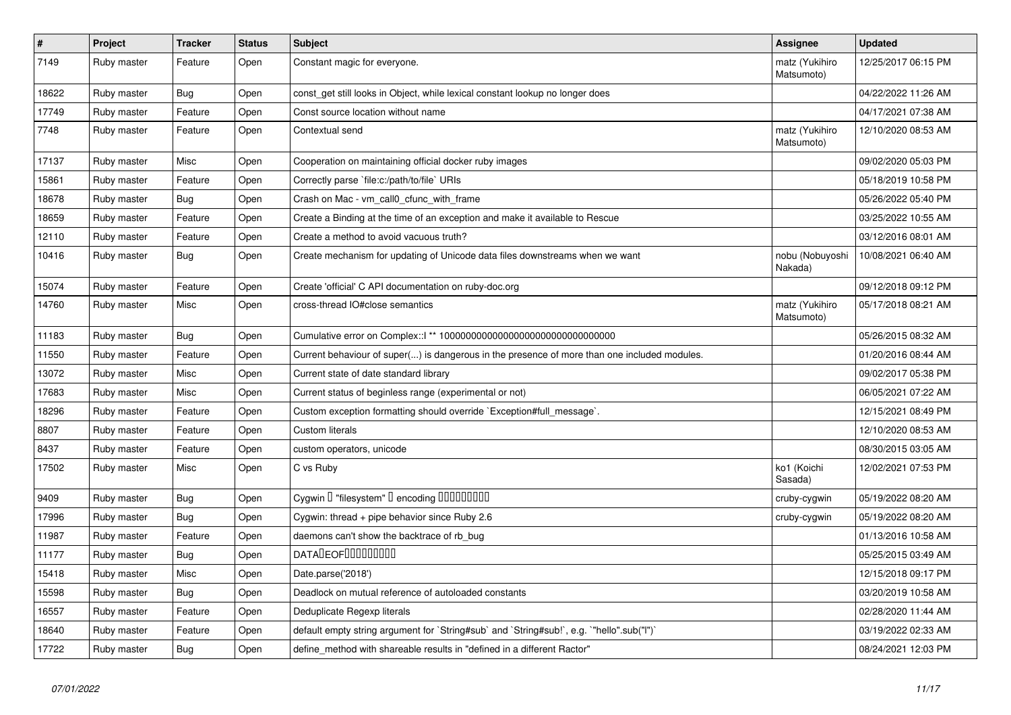| $\pmb{\#}$ | Project     | <b>Tracker</b> | <b>Status</b> | <b>Subject</b>                                                                               | Assignee                     | <b>Updated</b>      |
|------------|-------------|----------------|---------------|----------------------------------------------------------------------------------------------|------------------------------|---------------------|
| 7149       | Ruby master | Feature        | Open          | Constant magic for everyone.                                                                 | matz (Yukihiro<br>Matsumoto) | 12/25/2017 06:15 PM |
| 18622      | Ruby master | <b>Bug</b>     | Open          | const_get still looks in Object, while lexical constant lookup no longer does                |                              | 04/22/2022 11:26 AM |
| 17749      | Ruby master | Feature        | Open          | Const source location without name                                                           |                              | 04/17/2021 07:38 AM |
| 7748       | Ruby master | Feature        | Open          | Contextual send                                                                              | matz (Yukihiro<br>Matsumoto) | 12/10/2020 08:53 AM |
| 17137      | Ruby master | Misc           | Open          | Cooperation on maintaining official docker ruby images                                       |                              | 09/02/2020 05:03 PM |
| 15861      | Ruby master | Feature        | Open          | Correctly parse 'file:c:/path/to/file' URIs                                                  |                              | 05/18/2019 10:58 PM |
| 18678      | Ruby master | Bug            | Open          | Crash on Mac - vm call0 cfunc with frame                                                     |                              | 05/26/2022 05:40 PM |
| 18659      | Ruby master | Feature        | Open          | Create a Binding at the time of an exception and make it available to Rescue                 |                              | 03/25/2022 10:55 AM |
| 12110      | Ruby master | Feature        | Open          | Create a method to avoid vacuous truth?                                                      |                              | 03/12/2016 08:01 AM |
| 10416      | Ruby master | <b>Bug</b>     | Open          | Create mechanism for updating of Unicode data files downstreams when we want                 | nobu (Nobuyoshi<br>Nakada)   | 10/08/2021 06:40 AM |
| 15074      | Ruby master | Feature        | Open          | Create 'official' C API documentation on ruby-doc.org                                        |                              | 09/12/2018 09:12 PM |
| 14760      | Ruby master | Misc           | Open          | cross-thread IO#close semantics                                                              | matz (Yukihiro<br>Matsumoto) | 05/17/2018 08:21 AM |
| 11183      | Ruby master | Bug            | Open          |                                                                                              |                              | 05/26/2015 08:32 AM |
| 11550      | Ruby master | Feature        | Open          | Current behaviour of super() is dangerous in the presence of more than one included modules. |                              | 01/20/2016 08:44 AM |
| 13072      | Ruby master | Misc           | Open          | Current state of date standard library                                                       |                              | 09/02/2017 05:38 PM |
| 17683      | Ruby master | Misc           | Open          | Current status of beginless range (experimental or not)                                      |                              | 06/05/2021 07:22 AM |
| 18296      | Ruby master | Feature        | Open          | Custom exception formatting should override `Exception#full_message`.                        |                              | 12/15/2021 08:49 PM |
| 8807       | Ruby master | Feature        | Open          | <b>Custom literals</b>                                                                       |                              | 12/10/2020 08:53 AM |
| 8437       | Ruby master | Feature        | Open          | custom operators, unicode                                                                    |                              | 08/30/2015 03:05 AM |
| 17502      | Ruby master | Misc           | Open          | C vs Ruby                                                                                    | ko1 (Koichi<br>Sasada)       | 12/02/2021 07:53 PM |
| 9409       | Ruby master | Bug            | Open          | Cygwin I "filesystem" I encoding IIIIIIIIIIIII                                               | cruby-cygwin                 | 05/19/2022 08:20 AM |
| 17996      | Ruby master | Bug            | Open          | Cygwin: thread + pipe behavior since Ruby 2.6                                                | cruby-cygwin                 | 05/19/2022 08:20 AM |
| 11987      | Ruby master | Feature        | Open          | daemons can't show the backtrace of rb_bug                                                   |                              | 01/13/2016 10:58 AM |
| 11177      | Ruby master | <b>Bug</b>     | Open          | <b>DATADEOFOOOOOOOO</b>                                                                      |                              | 05/25/2015 03:49 AM |
| 15418      | Ruby master | Misc           | Open          | Date.parse('2018')                                                                           |                              | 12/15/2018 09:17 PM |
| 15598      | Ruby master | Bug            | Open          | Deadlock on mutual reference of autoloaded constants                                         |                              | 03/20/2019 10:58 AM |
| 16557      | Ruby master | Feature        | Open          | Deduplicate Regexp literals                                                                  |                              | 02/28/2020 11:44 AM |
| 18640      | Ruby master | Feature        | Open          | default empty string argument for `String#sub` and `String#sub!`, e.g. `"hello".sub("I")`    |                              | 03/19/2022 02:33 AM |
| 17722      | Ruby master | Bug            | Open          | define method with shareable results in "defined in a different Ractor"                      |                              | 08/24/2021 12:03 PM |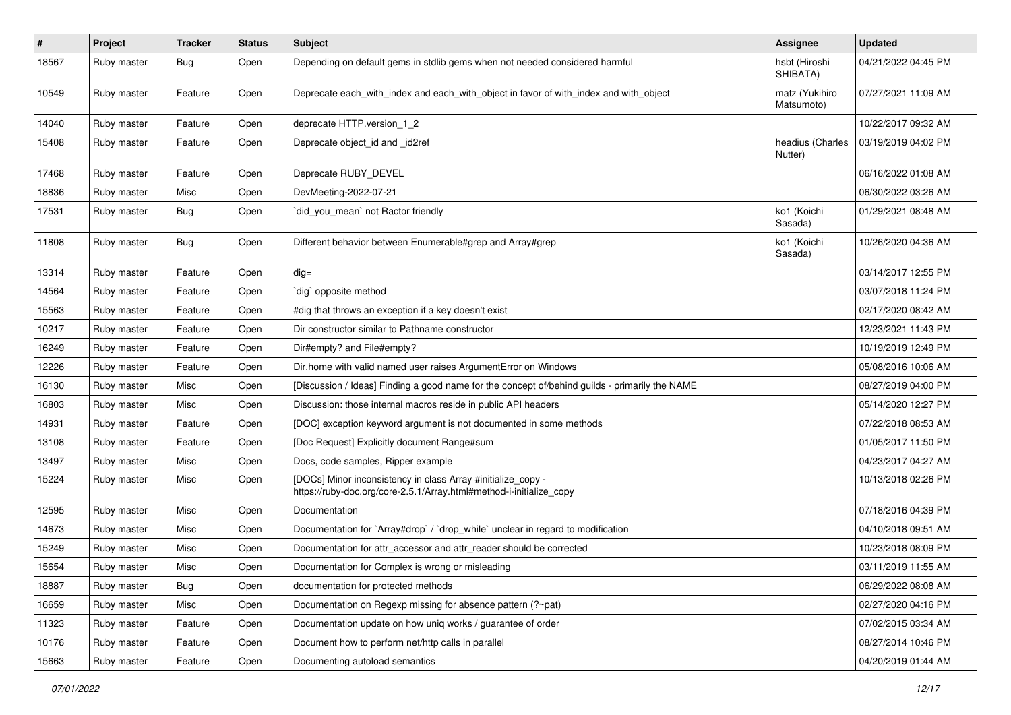| $\sharp$ | Project     | <b>Tracker</b> | <b>Status</b> | <b>Subject</b>                                                                                                                      | <b>Assignee</b>              | <b>Updated</b>      |
|----------|-------------|----------------|---------------|-------------------------------------------------------------------------------------------------------------------------------------|------------------------------|---------------------|
| 18567    | Ruby master | <b>Bug</b>     | Open          | Depending on default gems in stdlib gems when not needed considered harmful                                                         | hsbt (Hiroshi<br>SHIBATA)    | 04/21/2022 04:45 PM |
| 10549    | Ruby master | Feature        | Open          | Deprecate each_with_index and each_with_object in favor of with_index and with_object                                               | matz (Yukihiro<br>Matsumoto) | 07/27/2021 11:09 AM |
| 14040    | Ruby master | Feature        | Open          | deprecate HTTP.version_1_2                                                                                                          |                              | 10/22/2017 09:32 AM |
| 15408    | Ruby master | Feature        | Open          | Deprecate object_id and _id2ref                                                                                                     | headius (Charles<br>Nutter)  | 03/19/2019 04:02 PM |
| 17468    | Ruby master | Feature        | Open          | Deprecate RUBY_DEVEL                                                                                                                |                              | 06/16/2022 01:08 AM |
| 18836    | Ruby master | Misc           | Open          | DevMeeting-2022-07-21                                                                                                               |                              | 06/30/2022 03:26 AM |
| 17531    | Ruby master | <b>Bug</b>     | Open          | did_you_mean` not Ractor friendly                                                                                                   | ko1 (Koichi<br>Sasada)       | 01/29/2021 08:48 AM |
| 11808    | Ruby master | <b>Bug</b>     | Open          | Different behavior between Enumerable#grep and Array#grep                                                                           | ko1 (Koichi<br>Sasada)       | 10/26/2020 04:36 AM |
| 13314    | Ruby master | Feature        | Open          | $dig =$                                                                                                                             |                              | 03/14/2017 12:55 PM |
| 14564    | Ruby master | Feature        | Open          | `dig` opposite method                                                                                                               |                              | 03/07/2018 11:24 PM |
| 15563    | Ruby master | Feature        | Open          | #dig that throws an exception if a key doesn't exist                                                                                |                              | 02/17/2020 08:42 AM |
| 10217    | Ruby master | Feature        | Open          | Dir constructor similar to Pathname constructor                                                                                     |                              | 12/23/2021 11:43 PM |
| 16249    | Ruby master | Feature        | Open          | Dir#empty? and File#empty?                                                                                                          |                              | 10/19/2019 12:49 PM |
| 12226    | Ruby master | Feature        | Open          | Dir.home with valid named user raises ArgumentError on Windows                                                                      |                              | 05/08/2016 10:06 AM |
| 16130    | Ruby master | Misc           | Open          | [Discussion / Ideas] Finding a good name for the concept of/behind guilds - primarily the NAME                                      |                              | 08/27/2019 04:00 PM |
| 16803    | Ruby master | Misc           | Open          | Discussion: those internal macros reside in public API headers                                                                      |                              | 05/14/2020 12:27 PM |
| 14931    | Ruby master | Feature        | Open          | [DOC] exception keyword argument is not documented in some methods                                                                  |                              | 07/22/2018 08:53 AM |
| 13108    | Ruby master | Feature        | Open          | [Doc Request] Explicitly document Range#sum                                                                                         |                              | 01/05/2017 11:50 PM |
| 13497    | Ruby master | Misc           | Open          | Docs, code samples, Ripper example                                                                                                  |                              | 04/23/2017 04:27 AM |
| 15224    | Ruby master | Misc           | Open          | [DOCs] Minor inconsistency in class Array #initialize_copy -<br>https://ruby-doc.org/core-2.5.1/Array.html#method-i-initialize_copy |                              | 10/13/2018 02:26 PM |
| 12595    | Ruby master | Misc           | Open          | Documentation                                                                                                                       |                              | 07/18/2016 04:39 PM |
| 14673    | Ruby master | Misc           | Open          | Documentation for `Array#drop` / `drop_while` unclear in regard to modification                                                     |                              | 04/10/2018 09:51 AM |
| 15249    | Ruby master | Misc           | Open          | Documentation for attr_accessor and attr_reader should be corrected                                                                 |                              | 10/23/2018 08:09 PM |
| 15654    | Ruby master | Misc           | Open          | Documentation for Complex is wrong or misleading                                                                                    |                              | 03/11/2019 11:55 AM |
| 18887    | Ruby master | Bug            | Open          | documentation for protected methods                                                                                                 |                              | 06/29/2022 08:08 AM |
| 16659    | Ruby master | Misc           | Open          | Documentation on Regexp missing for absence pattern (?~pat)                                                                         |                              | 02/27/2020 04:16 PM |
| 11323    | Ruby master | Feature        | Open          | Documentation update on how uniq works / guarantee of order                                                                         |                              | 07/02/2015 03:34 AM |
| 10176    | Ruby master | Feature        | Open          | Document how to perform net/http calls in parallel                                                                                  |                              | 08/27/2014 10:46 PM |
| 15663    | Ruby master | Feature        | Open          | Documenting autoload semantics                                                                                                      |                              | 04/20/2019 01:44 AM |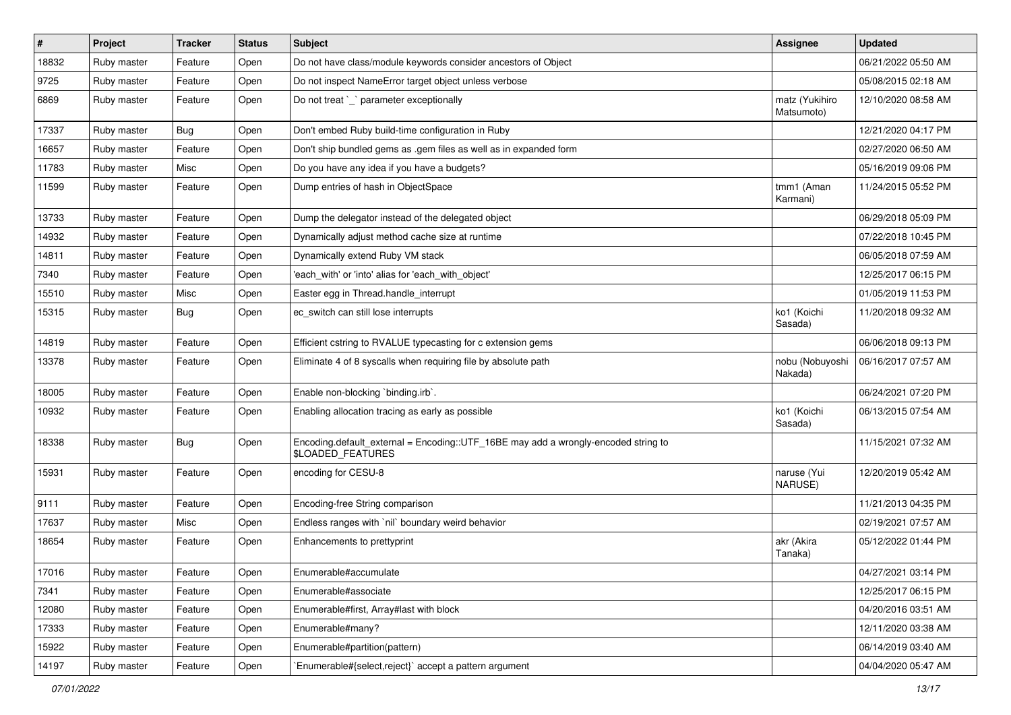| $\vert$ # | Project     | <b>Tracker</b> | <b>Status</b> | <b>Subject</b>                                                                                          | <b>Assignee</b>              | <b>Updated</b>      |
|-----------|-------------|----------------|---------------|---------------------------------------------------------------------------------------------------------|------------------------------|---------------------|
| 18832     | Ruby master | Feature        | Open          | Do not have class/module keywords consider ancestors of Object                                          |                              | 06/21/2022 05:50 AM |
| 9725      | Ruby master | Feature        | Open          | Do not inspect NameError target object unless verbose                                                   |                              | 05/08/2015 02:18 AM |
| 6869      | Ruby master | Feature        | Open          | Do not treat `_` parameter exceptionally                                                                | matz (Yukihiro<br>Matsumoto) | 12/10/2020 08:58 AM |
| 17337     | Ruby master | <b>Bug</b>     | Open          | Don't embed Ruby build-time configuration in Ruby                                                       |                              | 12/21/2020 04:17 PM |
| 16657     | Ruby master | Feature        | Open          | Don't ship bundled gems as .gem files as well as in expanded form                                       |                              | 02/27/2020 06:50 AM |
| 11783     | Ruby master | Misc           | Open          | Do you have any idea if you have a budgets?                                                             |                              | 05/16/2019 09:06 PM |
| 11599     | Ruby master | Feature        | Open          | Dump entries of hash in ObjectSpace                                                                     | tmm1 (Aman<br>Karmani)       | 11/24/2015 05:52 PM |
| 13733     | Ruby master | Feature        | Open          | Dump the delegator instead of the delegated object                                                      |                              | 06/29/2018 05:09 PM |
| 14932     | Ruby master | Feature        | Open          | Dynamically adjust method cache size at runtime                                                         |                              | 07/22/2018 10:45 PM |
| 14811     | Ruby master | Feature        | Open          | Dynamically extend Ruby VM stack                                                                        |                              | 06/05/2018 07:59 AM |
| 7340      | Ruby master | Feature        | Open          | 'each_with' or 'into' alias for 'each_with_object'                                                      |                              | 12/25/2017 06:15 PM |
| 15510     | Ruby master | Misc           | Open          | Easter egg in Thread.handle_interrupt                                                                   |                              | 01/05/2019 11:53 PM |
| 15315     | Ruby master | <b>Bug</b>     | Open          | ec_switch can still lose interrupts                                                                     | ko1 (Koichi<br>Sasada)       | 11/20/2018 09:32 AM |
| 14819     | Ruby master | Feature        | Open          | Efficient cstring to RVALUE typecasting for c extension gems                                            |                              | 06/06/2018 09:13 PM |
| 13378     | Ruby master | Feature        | Open          | Eliminate 4 of 8 syscalls when requiring file by absolute path                                          | nobu (Nobuyoshi<br>Nakada)   | 06/16/2017 07:57 AM |
| 18005     | Ruby master | Feature        | Open          | Enable non-blocking 'binding.irb'.                                                                      |                              | 06/24/2021 07:20 PM |
| 10932     | Ruby master | Feature        | Open          | Enabling allocation tracing as early as possible                                                        | ko1 (Koichi<br>Sasada)       | 06/13/2015 07:54 AM |
| 18338     | Ruby master | <b>Bug</b>     | Open          | Encoding.default_external = Encoding::UTF_16BE may add a wrongly-encoded string to<br>\$LOADED_FEATURES |                              | 11/15/2021 07:32 AM |
| 15931     | Ruby master | Feature        | Open          | encoding for CESU-8                                                                                     | naruse (Yui<br>NARUSE)       | 12/20/2019 05:42 AM |
| 9111      | Ruby master | Feature        | Open          | Encoding-free String comparison                                                                         |                              | 11/21/2013 04:35 PM |
| 17637     | Ruby master | Misc           | Open          | Endless ranges with `nil` boundary weird behavior                                                       |                              | 02/19/2021 07:57 AM |
| 18654     | Ruby master | Feature        | Open          | Enhancements to prettyprint                                                                             | akr (Akira<br>Tanaka)        | 05/12/2022 01:44 PM |
| 17016     | Ruby master | Feature        | Open          | Enumerable#accumulate                                                                                   |                              | 04/27/2021 03:14 PM |
| 7341      | Ruby master | Feature        | Open          | Enumerable#associate                                                                                    |                              | 12/25/2017 06:15 PM |
| 12080     | Ruby master | Feature        | Open          | Enumerable#first, Array#last with block                                                                 |                              | 04/20/2016 03:51 AM |
| 17333     | Ruby master | Feature        | Open          | Enumerable#many?                                                                                        |                              | 12/11/2020 03:38 AM |
| 15922     | Ruby master | Feature        | Open          | Enumerable#partition(pattern)                                                                           |                              | 06/14/2019 03:40 AM |
| 14197     | Ruby master | Feature        | Open          | Enumerable#{select,reject}` accept a pattern argument                                                   |                              | 04/04/2020 05:47 AM |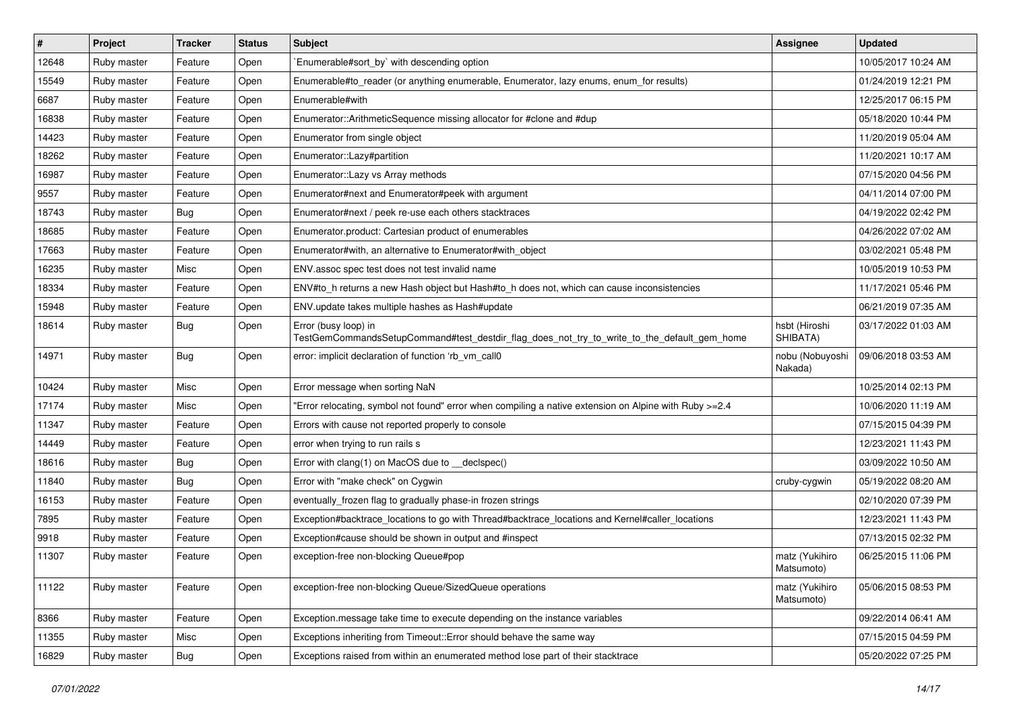| $\vert$ # | Project     | <b>Tracker</b> | <b>Status</b> | <b>Subject</b>                                                                                                      | Assignee                     | <b>Updated</b>      |
|-----------|-------------|----------------|---------------|---------------------------------------------------------------------------------------------------------------------|------------------------------|---------------------|
| 12648     | Ruby master | Feature        | Open          | `Enumerable#sort_by` with descending option                                                                         |                              | 10/05/2017 10:24 AM |
| 15549     | Ruby master | Feature        | Open          | Enumerable#to_reader (or anything enumerable, Enumerator, lazy enums, enum_for results)                             |                              | 01/24/2019 12:21 PM |
| 6687      | Ruby master | Feature        | Open          | Enumerable#with                                                                                                     |                              | 12/25/2017 06:15 PM |
| 16838     | Ruby master | Feature        | Open          | Enumerator::ArithmeticSequence missing allocator for #clone and #dup                                                |                              | 05/18/2020 10:44 PM |
| 14423     | Ruby master | Feature        | Open          | Enumerator from single object                                                                                       |                              | 11/20/2019 05:04 AM |
| 18262     | Ruby master | Feature        | Open          | Enumerator::Lazy#partition                                                                                          |                              | 11/20/2021 10:17 AM |
| 16987     | Ruby master | Feature        | Open          | Enumerator::Lazy vs Array methods                                                                                   |                              | 07/15/2020 04:56 PM |
| 9557      | Ruby master | Feature        | Open          | Enumerator#next and Enumerator#peek with argument                                                                   |                              | 04/11/2014 07:00 PM |
| 18743     | Ruby master | <b>Bug</b>     | Open          | Enumerator#next / peek re-use each others stacktraces                                                               |                              | 04/19/2022 02:42 PM |
| 18685     | Ruby master | Feature        | Open          | Enumerator.product: Cartesian product of enumerables                                                                |                              | 04/26/2022 07:02 AM |
| 17663     | Ruby master | Feature        | Open          | Enumerator#with, an alternative to Enumerator#with object                                                           |                              | 03/02/2021 05:48 PM |
| 16235     | Ruby master | Misc           | Open          | ENV.assoc spec test does not test invalid name                                                                      |                              | 10/05/2019 10:53 PM |
| 18334     | Ruby master | Feature        | Open          | ENV#to_h returns a new Hash object but Hash#to_h does not, which can cause inconsistencies                          |                              | 11/17/2021 05:46 PM |
| 15948     | Ruby master | Feature        | Open          | ENV.update takes multiple hashes as Hash#update                                                                     |                              | 06/21/2019 07:35 AM |
| 18614     | Ruby master | <b>Bug</b>     | Open          | Error (busy loop) in<br>TestGemCommandsSetupCommand#test_destdir_flag_does_not_try_to_write_to_the_default_gem_home | hsbt (Hiroshi<br>SHIBATA)    | 03/17/2022 01:03 AM |
| 14971     | Ruby master | <b>Bug</b>     | Open          | error: implicit declaration of function 'rb_vm_call0                                                                | nobu (Nobuyoshi<br>Nakada)   | 09/06/2018 03:53 AM |
| 10424     | Ruby master | Misc           | Open          | Error message when sorting NaN                                                                                      |                              | 10/25/2014 02:13 PM |
| 17174     | Ruby master | Misc           | Open          | "Error relocating, symbol not found" error when compiling a native extension on Alpine with Ruby >=2.4              |                              | 10/06/2020 11:19 AM |
| 11347     | Ruby master | Feature        | Open          | Errors with cause not reported properly to console                                                                  |                              | 07/15/2015 04:39 PM |
| 14449     | Ruby master | Feature        | Open          | error when trying to run rails s                                                                                    |                              | 12/23/2021 11:43 PM |
| 18616     | Ruby master | Bug            | Open          | Error with clang(1) on MacOS due to _declspec()                                                                     |                              | 03/09/2022 10:50 AM |
| 11840     | Ruby master | <b>Bug</b>     | Open          | Error with "make check" on Cygwin                                                                                   | cruby-cygwin                 | 05/19/2022 08:20 AM |
| 16153     | Ruby master | Feature        | Open          | eventually_frozen flag to gradually phase-in frozen strings                                                         |                              | 02/10/2020 07:39 PM |
| 7895      | Ruby master | Feature        | Open          | Exception#backtrace_locations to go with Thread#backtrace_locations and Kernel#caller_locations                     |                              | 12/23/2021 11:43 PM |
| 9918      | Ruby master | Feature        | Open          | Exception#cause should be shown in output and #inspect                                                              |                              | 07/13/2015 02:32 PM |
| 11307     | Ruby master | Feature        | Open          | exception-free non-blocking Queue#pop                                                                               | matz (Yukihiro<br>Matsumoto) | 06/25/2015 11:06 PM |
| 11122     | Ruby master | Feature        | Open          | exception-free non-blocking Queue/SizedQueue operations                                                             | matz (Yukihiro<br>Matsumoto) | 05/06/2015 08:53 PM |
| 8366      | Ruby master | Feature        | Open          | Exception.message take time to execute depending on the instance variables                                          |                              | 09/22/2014 06:41 AM |
| 11355     | Ruby master | Misc           | Open          | Exceptions inheriting from Timeout:: Error should behave the same way                                               |                              | 07/15/2015 04:59 PM |
| 16829     | Ruby master | <b>Bug</b>     | Open          | Exceptions raised from within an enumerated method lose part of their stacktrace                                    |                              | 05/20/2022 07:25 PM |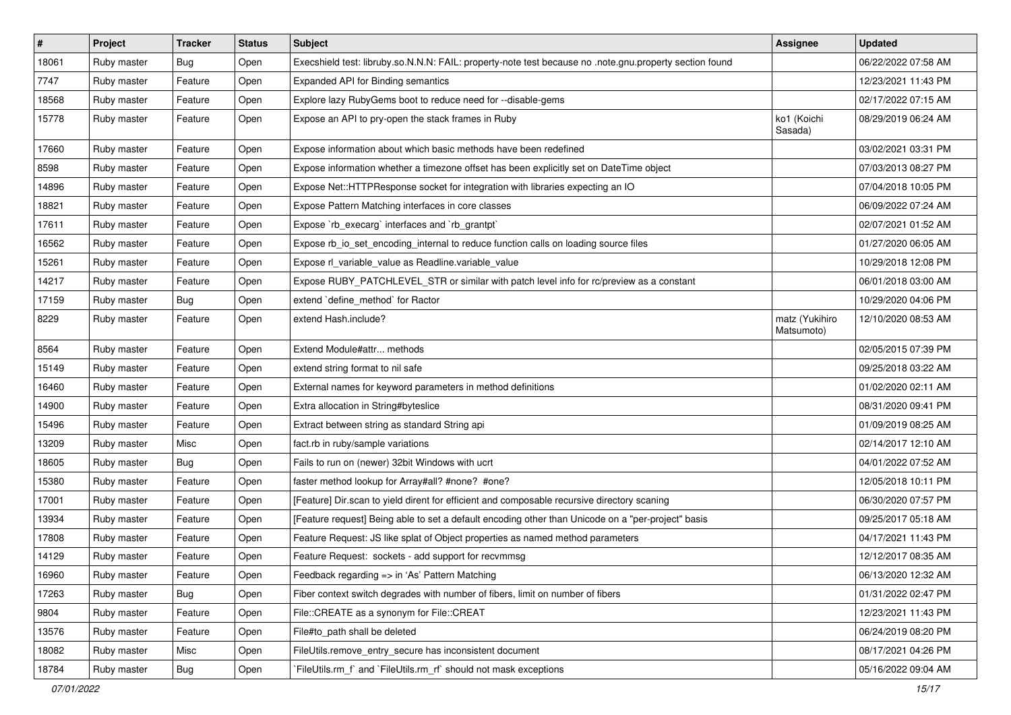| $\pmb{\#}$ | Project     | <b>Tracker</b> | <b>Status</b> | Subject                                                                                                 | <b>Assignee</b>              | <b>Updated</b>      |
|------------|-------------|----------------|---------------|---------------------------------------------------------------------------------------------------------|------------------------------|---------------------|
| 18061      | Ruby master | Bug            | Open          | Execshield test: libruby.so.N.N.N: FAIL: property-note test because no .note.gnu.property section found |                              | 06/22/2022 07:58 AM |
| 7747       | Ruby master | Feature        | Open          | Expanded API for Binding semantics                                                                      |                              | 12/23/2021 11:43 PM |
| 18568      | Ruby master | Feature        | Open          | Explore lazy RubyGems boot to reduce need for --disable-gems                                            |                              | 02/17/2022 07:15 AM |
| 15778      | Ruby master | Feature        | Open          | Expose an API to pry-open the stack frames in Ruby                                                      | ko1 (Koichi<br>Sasada)       | 08/29/2019 06:24 AM |
| 17660      | Ruby master | Feature        | Open          | Expose information about which basic methods have been redefined                                        |                              | 03/02/2021 03:31 PM |
| 8598       | Ruby master | Feature        | Open          | Expose information whether a timezone offset has been explicitly set on DateTime object                 |                              | 07/03/2013 08:27 PM |
| 14896      | Ruby master | Feature        | Open          | Expose Net:: HTTPResponse socket for integration with libraries expecting an IO                         |                              | 07/04/2018 10:05 PM |
| 18821      | Ruby master | Feature        | Open          | Expose Pattern Matching interfaces in core classes                                                      |                              | 06/09/2022 07:24 AM |
| 17611      | Ruby master | Feature        | Open          | Expose `rb_execarg` interfaces and `rb_grantpt`                                                         |                              | 02/07/2021 01:52 AM |
| 16562      | Ruby master | Feature        | Open          | Expose rb_io_set_encoding_internal to reduce function calls on loading source files                     |                              | 01/27/2020 06:05 AM |
| 15261      | Ruby master | Feature        | Open          | Expose rl_variable_value as Readline.variable_value                                                     |                              | 10/29/2018 12:08 PM |
| 14217      | Ruby master | Feature        | Open          | Expose RUBY_PATCHLEVEL_STR or similar with patch level info for rc/preview as a constant                |                              | 06/01/2018 03:00 AM |
| 17159      | Ruby master | Bug            | Open          | extend 'define method' for Ractor                                                                       |                              | 10/29/2020 04:06 PM |
| 8229       | Ruby master | Feature        | Open          | extend Hash.include?                                                                                    | matz (Yukihiro<br>Matsumoto) | 12/10/2020 08:53 AM |
| 8564       | Ruby master | Feature        | Open          | Extend Module#attr methods                                                                              |                              | 02/05/2015 07:39 PM |
| 15149      | Ruby master | Feature        | Open          | extend string format to nil safe                                                                        |                              | 09/25/2018 03:22 AM |
| 16460      | Ruby master | Feature        | Open          | External names for keyword parameters in method definitions                                             |                              | 01/02/2020 02:11 AM |
| 14900      | Ruby master | Feature        | Open          | Extra allocation in String#byteslice                                                                    |                              | 08/31/2020 09:41 PM |
| 15496      | Ruby master | Feature        | Open          | Extract between string as standard String api                                                           |                              | 01/09/2019 08:25 AM |
| 13209      | Ruby master | Misc           | Open          | fact.rb in ruby/sample variations                                                                       |                              | 02/14/2017 12:10 AM |
| 18605      | Ruby master | Bug            | Open          | Fails to run on (newer) 32bit Windows with ucrt                                                         |                              | 04/01/2022 07:52 AM |
| 15380      | Ruby master | Feature        | Open          | faster method lookup for Array#all? #none? #one?                                                        |                              | 12/05/2018 10:11 PM |
| 17001      | Ruby master | Feature        | Open          | [Feature] Dir.scan to yield dirent for efficient and composable recursive directory scaning             |                              | 06/30/2020 07:57 PM |
| 13934      | Ruby master | Feature        | Open          | [Feature request] Being able to set a default encoding other than Unicode on a "per-project" basis      |                              | 09/25/2017 05:18 AM |
| 17808      | Ruby master | Feature        | Open          | Feature Request: JS like splat of Object properties as named method parameters                          |                              | 04/17/2021 11:43 PM |
| 14129      | Ruby master | Feature        | Open          | Feature Request: sockets - add support for recvmmsg                                                     |                              | 12/12/2017 08:35 AM |
| 16960      | Ruby master | Feature        | Open          | Feedback regarding => in 'As' Pattern Matching                                                          |                              | 06/13/2020 12:32 AM |
| 17263      | Ruby master | Bug            | Open          | Fiber context switch degrades with number of fibers, limit on number of fibers                          |                              | 01/31/2022 02:47 PM |
| 9804       | Ruby master | Feature        | Open          | File::CREATE as a synonym for File::CREAT                                                               |                              | 12/23/2021 11:43 PM |
| 13576      | Ruby master | Feature        | Open          | File#to_path shall be deleted                                                                           |                              | 06/24/2019 08:20 PM |
| 18082      | Ruby master | Misc           | Open          | FileUtils.remove_entry_secure has inconsistent document                                                 |                              | 08/17/2021 04:26 PM |
| 18784      | Ruby master | <b>Bug</b>     | Open          | FileUtils.rm_f`and `FileUtils.rm_rf` should not mask exceptions                                         |                              | 05/16/2022 09:04 AM |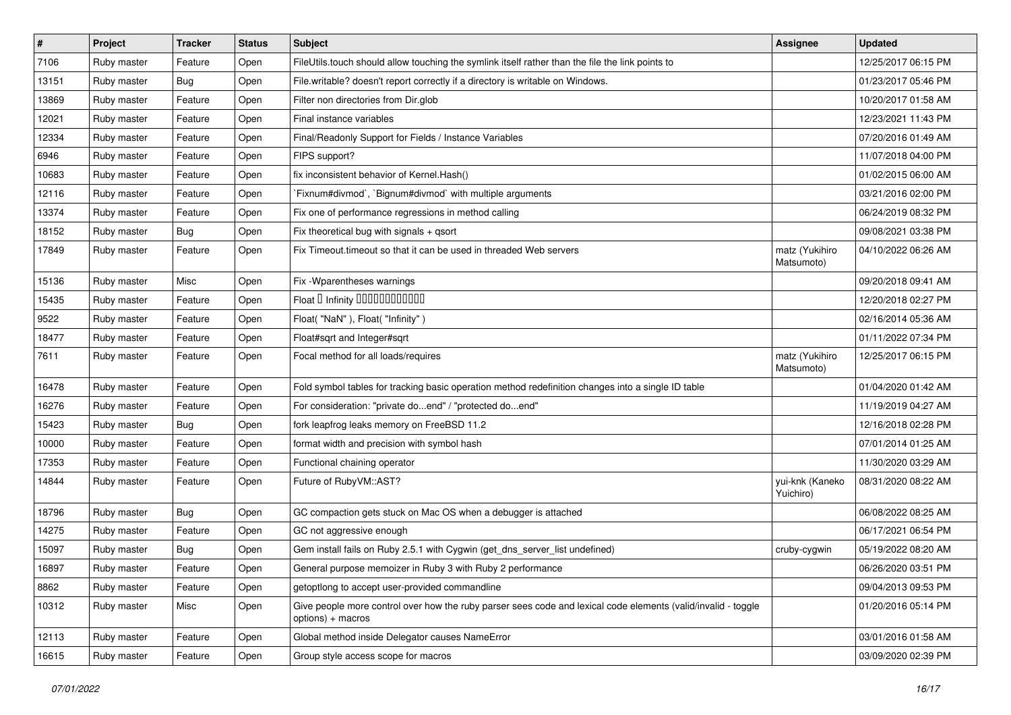| $\pmb{\#}$ | Project     | <b>Tracker</b> | <b>Status</b> | Subject                                                                                                                            | Assignee                     | <b>Updated</b>      |
|------------|-------------|----------------|---------------|------------------------------------------------------------------------------------------------------------------------------------|------------------------------|---------------------|
| 7106       | Ruby master | Feature        | Open          | FileUtils.touch should allow touching the symlink itself rather than the file the link points to                                   |                              | 12/25/2017 06:15 PM |
| 13151      | Ruby master | Bug            | Open          | File.writable? doesn't report correctly if a directory is writable on Windows.                                                     |                              | 01/23/2017 05:46 PM |
| 13869      | Ruby master | Feature        | Open          | Filter non directories from Dir.glob                                                                                               |                              | 10/20/2017 01:58 AM |
| 12021      | Ruby master | Feature        | Open          | Final instance variables                                                                                                           |                              | 12/23/2021 11:43 PM |
| 12334      | Ruby master | Feature        | Open          | Final/Readonly Support for Fields / Instance Variables                                                                             |                              | 07/20/2016 01:49 AM |
| 6946       | Ruby master | Feature        | Open          | FIPS support?                                                                                                                      |                              | 11/07/2018 04:00 PM |
| 10683      | Ruby master | Feature        | Open          | fix inconsistent behavior of Kernel. Hash()                                                                                        |                              | 01/02/2015 06:00 AM |
| 12116      | Ruby master | Feature        | Open          | Fixnum#divmod`, `Bignum#divmod` with multiple arguments                                                                            |                              | 03/21/2016 02:00 PM |
| 13374      | Ruby master | Feature        | Open          | Fix one of performance regressions in method calling                                                                               |                              | 06/24/2019 08:32 PM |
| 18152      | Ruby master | Bug            | Open          | Fix theoretical bug with signals + qsort                                                                                           |                              | 09/08/2021 03:38 PM |
| 17849      | Ruby master | Feature        | Open          | Fix Timeout timeout so that it can be used in threaded Web servers                                                                 | matz (Yukihiro<br>Matsumoto) | 04/10/2022 06:26 AM |
| 15136      | Ruby master | Misc           | Open          | Fix - Wparentheses warnings                                                                                                        |                              | 09/20/2018 09:41 AM |
| 15435      | Ruby master | Feature        | Open          | Float D Infinity 000000000000                                                                                                      |                              | 12/20/2018 02:27 PM |
| 9522       | Ruby master | Feature        | Open          | Float("NaN"), Float("Infinity")                                                                                                    |                              | 02/16/2014 05:36 AM |
| 18477      | Ruby master | Feature        | Open          | Float#sqrt and Integer#sqrt                                                                                                        |                              | 01/11/2022 07:34 PM |
| 7611       | Ruby master | Feature        | Open          | Focal method for all loads/requires                                                                                                | matz (Yukihiro<br>Matsumoto) | 12/25/2017 06:15 PM |
| 16478      | Ruby master | Feature        | Open          | Fold symbol tables for tracking basic operation method redefinition changes into a single ID table                                 |                              | 01/04/2020 01:42 AM |
| 16276      | Ruby master | Feature        | Open          | For consideration: "private doend" / "protected doend"                                                                             |                              | 11/19/2019 04:27 AM |
| 15423      | Ruby master | Bug            | Open          | fork leapfrog leaks memory on FreeBSD 11.2                                                                                         |                              | 12/16/2018 02:28 PM |
| 10000      | Ruby master | Feature        | Open          | format width and precision with symbol hash                                                                                        |                              | 07/01/2014 01:25 AM |
| 17353      | Ruby master | Feature        | Open          | Functional chaining operator                                                                                                       |                              | 11/30/2020 03:29 AM |
| 14844      | Ruby master | Feature        | Open          | Future of RubyVM::AST?                                                                                                             | yui-knk (Kaneko<br>Yuichiro) | 08/31/2020 08:22 AM |
| 18796      | Ruby master | Bug            | Open          | GC compaction gets stuck on Mac OS when a debugger is attached                                                                     |                              | 06/08/2022 08:25 AM |
| 14275      | Ruby master | Feature        | Open          | GC not aggressive enough                                                                                                           |                              | 06/17/2021 06:54 PM |
| 15097      | Ruby master | Bug            | Open          | Gem install fails on Ruby 2.5.1 with Cygwin (get_dns_server_list undefined)                                                        | cruby-cygwin                 | 05/19/2022 08:20 AM |
| 16897      | Ruby master | Feature        | Open          | General purpose memoizer in Ruby 3 with Ruby 2 performance                                                                         |                              | 06/26/2020 03:51 PM |
| 8862       | Ruby master | Feature        | Open          | getoptlong to accept user-provided commandline                                                                                     |                              | 09/04/2013 09:53 PM |
| 10312      | Ruby master | Misc           | Open          | Give people more control over how the ruby parser sees code and lexical code elements (valid/invalid - toggle<br>options) + macros |                              | 01/20/2016 05:14 PM |
| 12113      | Ruby master | Feature        | Open          | Global method inside Delegator causes NameError                                                                                    |                              | 03/01/2016 01:58 AM |
| 16615      | Ruby master | Feature        | Open          | Group style access scope for macros                                                                                                |                              | 03/09/2020 02:39 PM |